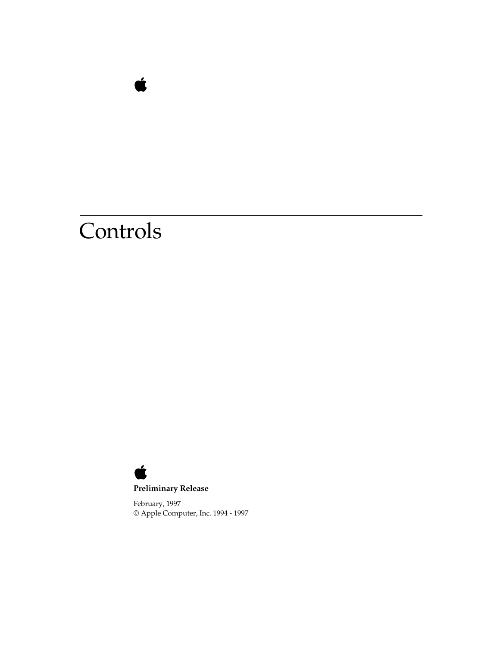

February, 1997 © Apple Computer, Inc. 1994 - 1997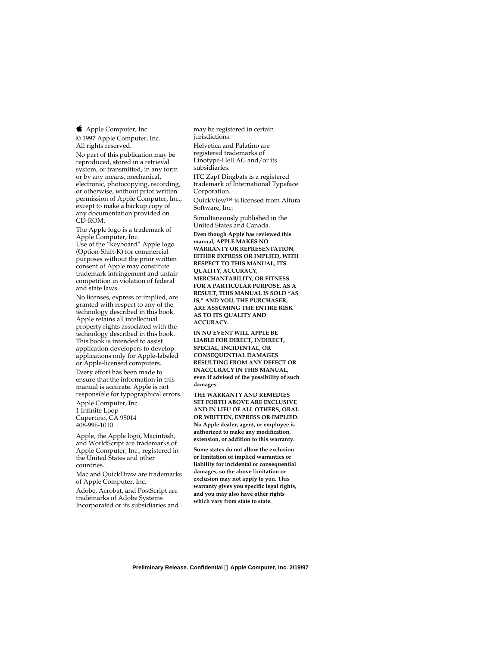Apple Computer, Inc. © 1997 Apple Computer, Inc. All rights reserved.

No part of this publication may be reproduced, stored in a retrieval system, or transmitted, in any form or by any means, mechanical, electronic, photocopying, recording, or otherwise, without prior written permission of Apple Computer, Inc., except to make a backup copy of any documentation provided on CD-ROM.

The Apple logo is a trademark of Apple Computer, Inc. Use of the "keyboard" Apple logo (Option-Shift-K) for commercial purposes without the prior written consent of Apple may constitute trademark infringement and unfair competition in violation of federal and state laws.

No licenses, express or implied, are granted with respect to any of the technology described in this book. Apple retains all intellectual property rights associated with the technology described in this book. This book is intended to assist application developers to develop applications only for Apple-labeled or Apple-licensed computers.

Every effort has been made to ensure that the information in this manual is accurate. Apple is not responsible for typographical errors.

Apple Computer, Inc. 1 Infinite Loop Cupertino, CA 95014 408-996-1010

Apple, the Apple logo, Macintosh, and WorldScript are trademarks of Apple Computer, Inc., registered in the United States and other countries.

Mac and QuickDraw are trademarks of Apple Computer, Inc. Adobe, Acrobat, and PostScript are

trademarks of Adobe Systems Incorporated or its subsidiaries and may be registered in certain jurisdictions.

Helvetica and Palatino are registered trademarks of Linotype-Hell AG and/or its subsidiaries.

ITC Zapf Dingbats is a registered trademark of International Typeface Corporation.

QuickView™ is licensed from Altura Software, Inc.

Simultaneously published in the United States and Canada.

**Even though Apple has reviewed this manual, APPLE MAKES NO WARRANTY OR REPRESENTATION, EITHER EXPRESS OR IMPLIED, WITH RESPECT TO THIS MANUAL, ITS QUALITY, ACCURACY, MERCHANTABILITY, OR FITNESS FOR A PARTICULAR PURPOSE. AS A RESULT, THIS MANUAL IS SOLD "AS IS," AND YOU, THE PURCHASER, ARE ASSUMING THE ENTIRE RISK AS TO ITS QUALITY AND ACCURACY.**

**IN NO EVENT WILL APPLE BE LIABLE FOR DIRECT, INDIRECT, SPECIAL, INCIDENTAL, OR CONSEQUENTIAL DAMAGES RESULTING FROM ANY DEFECT OR INACCURACY IN THIS MANUAL, even if advised of the possibility of such damages.**

**THE WARRANTY AND REMEDIES SET FORTH ABOVE ARE EXCLUSIVE AND IN LIEU OF ALL OTHERS, ORAL OR WRITTEN, EXPRESS OR IMPLIED. No Apple dealer, agent, or employee is authorized to make any modification, extension, or addition to this warranty.**

**Some states do not allow the exclusion or limitation of implied warranties or liability for incidental or consequential damages, so the above limitation or exclusion may not apply to you. This warranty gives you specific legal rights, and you may also have other rights which vary from state to state.**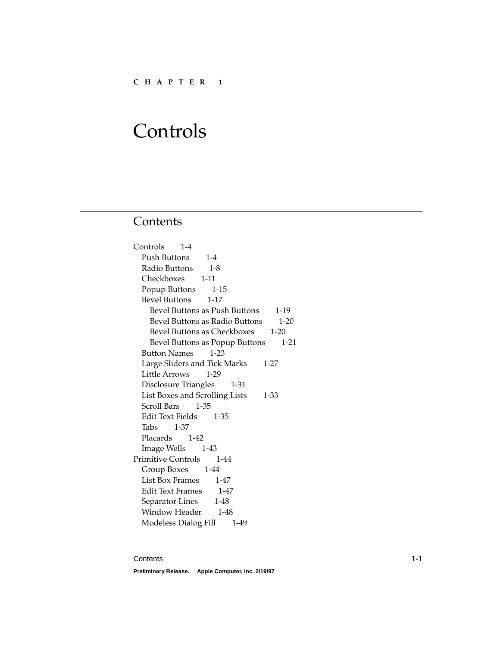# **Contents**

| Controls 1-4                             |
|------------------------------------------|
| Push Buttons 1-4                         |
| Radio Buttons 1-8                        |
| Checkboxes 1-11                          |
| Popup Buttons 1-15                       |
| Bevel Buttons 1-17                       |
| Bevel Buttons as Push Buttons 1-19       |
| Bevel Buttons as Radio Buttons<br>$1-20$ |
| Bevel Buttons as Checkboxes 1-20         |
| Bevel Buttons as Popup Buttons 1-21      |
| Button Names 1-23                        |
| Large Sliders and Tick Marks 1-27        |
| Little Arrows 1-29                       |
| Disclosure Triangles 1-31                |
| List Boxes and Scrolling Lists 1-33      |
| Scroll Bars 1-35                         |
| Edit Text Fields 1-35                    |
| Tabs 1-37                                |
| Placards 1-42                            |
| Image Wells 1-43                         |
| Primitive Controls 1-44                  |
| Group Boxes 1-44                         |
| List Box Frames 1-47                     |
| Edit Text Frames 1-47                    |
| Separator Lines 1-48                     |
| Window Header 1-48                       |
| Modeless Dialog Fill 1-49                |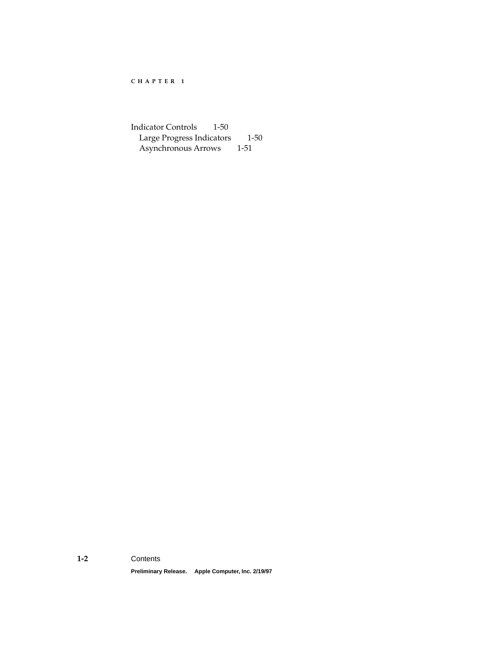[Indicator Controls 1-50](#page-51-0) [Large Progress Indicators 1-50](#page-51-0) [Asynchronous Arrows 1-51](#page-52-0)

#### **1-2** Contents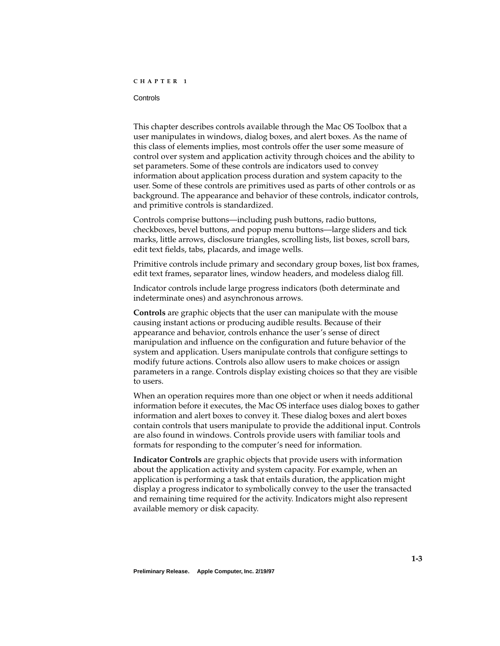#### <span id="page-4-0"></span>Controls **Controls** 2004 **Controls** 2004 **Controls** 2004 **Controls** 2004 **Controls**

This chapter describes controls available through the Mac OS Toolbox that a user manipulates in windows, dialog boxes, and alert boxes. As the name of this class of elements implies, most controls offer the user some measure of control over system and application activity through choices and the ability to set parameters. Some of these controls are indicators used to convey information about application process duration and system capacity to the user. Some of these controls are primitives used as parts of other controls or as background. The appearance and behavior of these controls, indicator controls, and primitive controls is standardized.

Controls comprise buttons—including push buttons, radio buttons, checkboxes, bevel buttons, and popup menu buttons—large sliders and tick marks, little arrows, disclosure triangles, scrolling lists, list boxes, scroll bars, edit text fields, tabs, placards, and image wells.

Primitive controls include primary and secondary group boxes, list box frames, edit text frames, separator lines, window headers, and modeless dialog fill.

Indicator controls include large progress indicators (both determinate and indeterminate ones) and asynchronous arrows.

**Controls** are graphic objects that the user can manipulate with the mouse causing instant actions or producing audible results. Because of their appearance and behavior, controls enhance the user's sense of direct manipulation and influence on the configuration and future behavior of the system and application. Users manipulate controls that configure settings to modify future actions. Controls also allow users to make choices or assign parameters in a range. Controls display existing choices so that they are visible to users.

When an operation requires more than one object or when it needs additional information before it executes, the Mac OS interface uses dialog boxes to gather information and alert boxes to convey it. These dialog boxes and alert boxes contain controls that users manipulate to provide the additional input. Controls are also found in windows. Controls provide users with familiar tools and formats for responding to the computer's need for information.

**Indicator Controls** are graphic objects that provide users with information about the application activity and system capacity. For example, when an application is performing a task that entails duration, the application might display a progress indicator to symbolically convey to the user the transacted and remaining time required for the activity. Indicators might also represent available memory or disk capacity.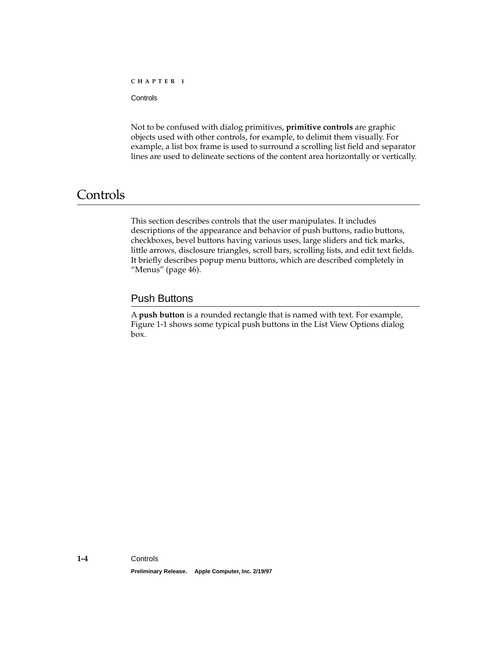<span id="page-5-0"></span>**Controls** 

Not to be confused with dialog primitives, **primitive controls** are graphic objects used with other controls, for example, to delimit them visually. For example, a list box frame is used to surround a scrolling list field and separator lines are used to delineate sections of the content area horizontally or vertically.

## **Controls**

This section describes controls that the user manipulates. It includes descriptions of the appearance and behavior of push buttons, radio buttons, checkboxes, bevel buttons having various uses, large sliders and tick marks, little arrows, disclosure triangles, scroll bars, scrolling lists, and edit text fields. It briefly describes popup menu buttons, which are described completely in "Menus" (page 46).

### Push Buttons 1

A **push button** is a rounded rectangle that is named with text. For example, [Figure 1-1](#page-6-0) shows some typical push buttons in the List View Options dialog box.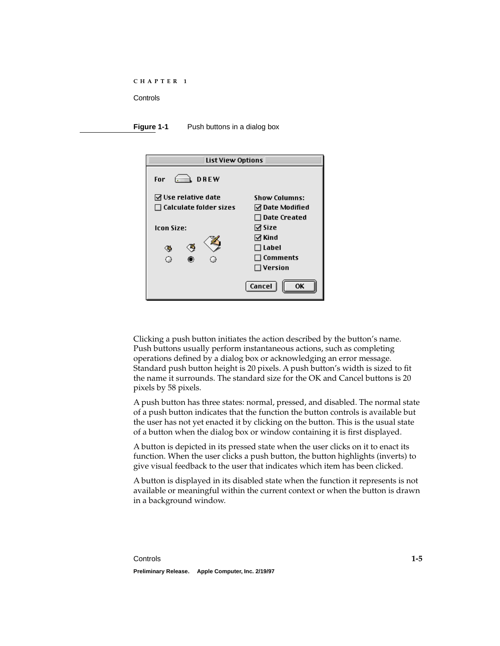<span id="page-6-0"></span>**Figure 1-1** Push buttons in a dialog box

| <b>List View Options</b>                                     |                                                   |
|--------------------------------------------------------------|---------------------------------------------------|
| $\rightarrow$ DREW<br>For                                    |                                                   |
| $\boxdot$ Use relative date<br>$\Box$ Calculate folder sizes | <b>Show Columns:</b><br>☑ Date Modified           |
| Icon Size:                                                   | $\Box$ Date Created<br>⊠ Size<br>⊠ Kind           |
| œ                                                            | ∃ Label<br>$\sqsupset$ Comments<br>$\Box$ Version |
|                                                              | Cancel<br>OK                                      |

Clicking a push button initiates the action described by the button's name. Push buttons usually perform instantaneous actions, such as completing operations defined by a dialog box or acknowledging an error message. Standard push button height is 20 pixels. A push button's width is sized to fit the name it surrounds. The standard size for the OK and Cancel buttons is 20 pixels by 58 pixels.

A push button has three states: normal, pressed, and disabled. The normal state of a push button indicates that the function the button controls is available but the user has not yet enacted it by clicking on the button. This is the usual state of a button when the dialog box or window containing it is first displayed.

A button is depicted in its pressed state when the user clicks on it to enact its function. When the user clicks a push button, the button highlights (inverts) to give visual feedback to the user that indicates which item has been clicked.

A button is displayed in its disabled state when the function it represents is not available or meaningful within the current context or when the button is drawn in a background window.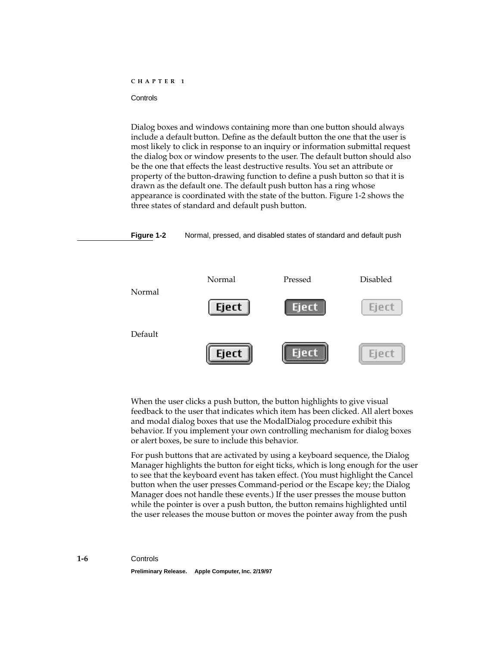Dialog boxes and windows containing more than one button should always include a default button. Define as the default button the one that the user is most likely to click in response to an inquiry or information submittal request the dialog box or window presents to the user. The default button should also be the one that effects the least destructive results. You set an attribute or property of the button-drawing function to define a push button so that it is drawn as the default one. The default push button has a ring whose appearance is coordinated with the state of the button. Figure 1-2 shows the three states of standard and default push button.

**Figure 1-2** Normal, pressed, and disabled states of standard and default push



When the user clicks a push button, the button highlights to give visual feedback to the user that indicates which item has been clicked. All alert boxes and modal dialog boxes that use the ModalDialog procedure exhibit this behavior. If you implement your own controlling mechanism for dialog boxes or alert boxes, be sure to include this behavior.

For push buttons that are activated by using a keyboard sequence, the Dialog Manager highlights the button for eight ticks, which is long enough for the user to see that the keyboard event has taken effect. (You must highlight the Cancel button when the user presses Command-period or the Escape key; the Dialog Manager does not handle these events.) If the user presses the mouse button while the pointer is over a push button, the button remains highlighted until the user releases the mouse button or moves the pointer away from the push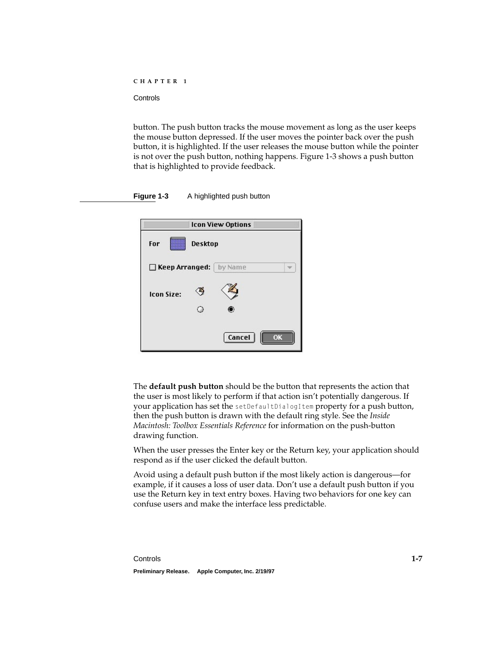button. The push button tracks the mouse movement as long as the user keeps the mouse button depressed. If the user moves the pointer back over the push button, it is highlighted. If the user releases the mouse button while the pointer is not over the push button, nothing happens. Figure 1-3 shows a push button that is highlighted to provide feedback.

|                   | <b>Icon View Options</b> |
|-------------------|--------------------------|
| For               | <b>Desktop</b>           |
|                   | Keep Arranged:   by Name |
| <b>Icon Size:</b> |                          |
|                   |                          |
|                   | <b>Cancel</b><br>ΩK      |

**Figure 1-3** A highlighted push button

The **default push button** should be the button that represents the action that the user is most likely to perform if that action isn't potentially dangerous. If your application has set the setDefaultDialogItem property for a push button, then the push button is drawn with the default ring style. See the *Inside Macintosh: Toolbox Essentials Reference* for information on the push-button drawing function.

When the user presses the Enter key or the Return key, your application should respond as if the user clicked the default button.

Avoid using a default push button if the most likely action is dangerous—for example, if it causes a loss of user data. Don't use a default push button if you use the Return key in text entry boxes. Having two behaviors for one key can confuse users and make the interface less predictable.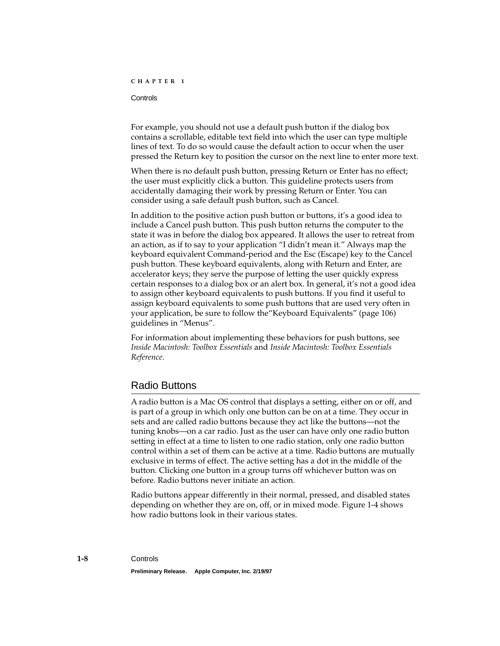#### <span id="page-9-0"></span>**Controls**

For example, you should not use a default push button if the dialog box contains a scrollable, editable text field into which the user can type multiple lines of text. To do so would cause the default action to occur when the user pressed the Return key to position the cursor on the next line to enter more text.

When there is no default push button, pressing Return or Enter has no effect; the user must explicitly click a button. This guideline protects users from accidentally damaging their work by pressing Return or Enter. You can consider using a safe default push button, such as Cancel.

In addition to the positive action push button or buttons, it's a good idea to include a Cancel push button. This push button returns the computer to the state it was in before the dialog box appeared. It allows the user to retreat from an action, as if to say to your application "I didn't mean it." Always map the keyboard equivalent Command-period and the Esc (Escape) key to the Cancel push button. These keyboard equivalents, along with Return and Enter, are accelerator keys; they serve the purpose of letting the user quickly express certain responses to a dialog box or an alert box. In general, it's not a good idea to assign other keyboard equivalents to push buttons. If you find it useful to assign keyboard equivalents to some push buttons that are used very often in your application, be sure to follow the"Keyboard Equivalents" (page 106) guidelines in "Menus".

For information about implementing these behaviors for push buttons, see *Inside Macintosh: Toolbox Essentials* and *Inside Macintosh: Toolbox Essentials Reference*.

#### Radio Buttons 1

A radio button is a Mac OS control that displays a setting, either on or off, and is part of a group in which only one button can be on at a time. They occur in sets and are called radio buttons because they act like the buttons—not the tuning knobs—on a car radio. Just as the user can have only one radio button setting in effect at a time to listen to one radio station, only one radio button control within a set of them can be active at a time. Radio buttons are mutually exclusive in terms of effect. The active setting has a dot in the middle of the button. Clicking one button in a group turns off whichever button was on before. Radio buttons never initiate an action.

Radio buttons appear differently in their normal, pressed, and disabled states depending on whether they are on, off, or in mixed mode. [Figure 1-4](#page-10-0) shows how radio buttons look in their various states.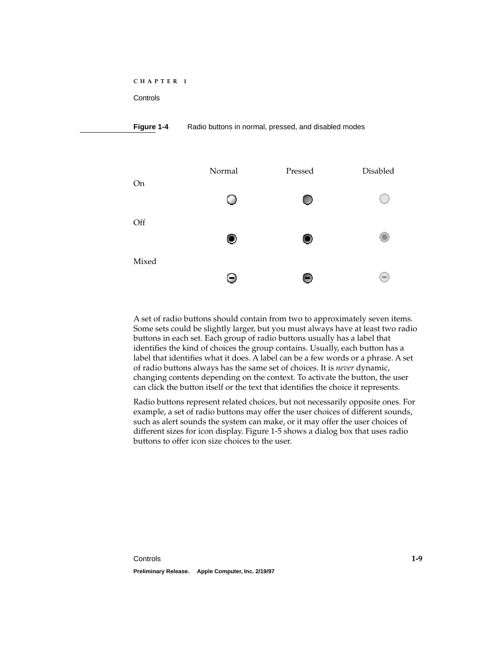#### <span id="page-10-0"></span>**Figure 1-4** Radio buttons in normal, pressed, and disabled modes



A set of radio buttons should contain from two to approximately seven items. Some sets could be slightly larger, but you must always have at least two radio buttons in each set. Each group of radio buttons usually has a label that identifies the kind of choices the group contains. Usually, each button has a label that identifies what it does. A label can be a few words or a phrase. A set of radio buttons always has the same set of choices. It is *never* dynamic, changing contents depending on the context. To activate the button, the user can click the button itself or the text that identifies the choice it represents.

Radio buttons represent related choices, but not necessarily opposite ones. For example, a set of radio buttons may offer the user choices of different sounds, such as alert sounds the system can make, or it may offer the user choices of different sizes for icon display. [Figure 1-5](#page-11-0) shows a dialog box that uses radio buttons to offer icon size choices to the user.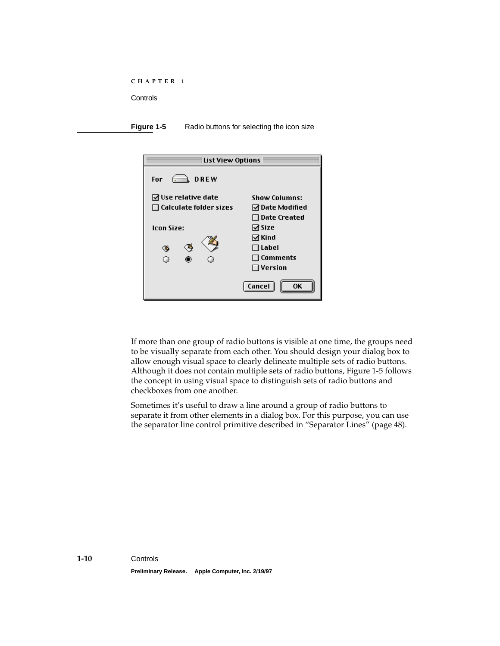<span id="page-11-0"></span>**Figure 1-5** Radio buttons for selecting the icon size

| <b>List View Options</b>      |                      |
|-------------------------------|----------------------|
| $\hat{ }$ DREW<br>For         |                      |
| $\boxdot$ Use relative date   | <b>Show Columns:</b> |
| $\Box$ Calculate folder sizes | ☑ Date Modified      |
|                               | $\Box$ Date Created  |
| <b>Icon Size:</b>             | ⊠ Size               |
|                               | ⊠ Kind               |
| œ                             | ∃Label               |
| Ο                             | $\sqsupset$ Comments |
|                               | $\Box$ Version       |
|                               | Cancel<br>0K         |

If more than one group of radio buttons is visible at one time, the groups need to be visually separate from each other. You should design your dialog box to allow enough visual space to clearly delineate multiple sets of radio buttons. Although it does not contain multiple sets of radio buttons, Figure 1-5 follows the concept in using visual space to distinguish sets of radio buttons and checkboxes from one another.

Sometimes it's useful to draw a line around a group of radio buttons to separate it from other elements in a dialog box. For this purpose, you can use the separator line control primitive described in ["Separator Lines" \(page 48\).](#page-49-0)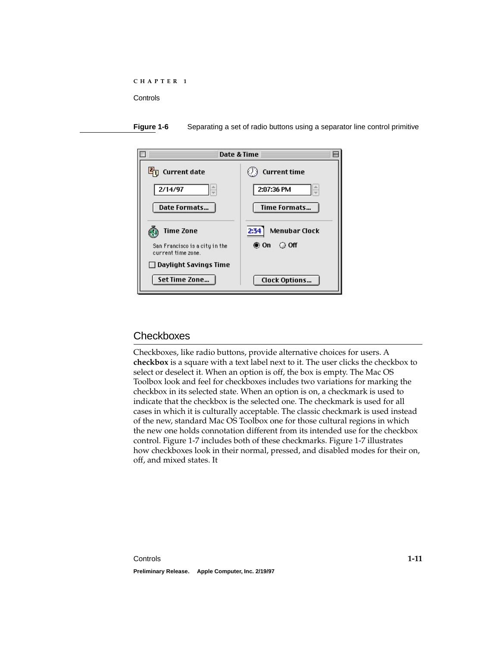<span id="page-12-0"></span>



## Checkboxes

Checkboxes, like radio buttons, provide alternative choices for users. A **checkbox** is a square with a text label next to it. The user clicks the checkbox to select or deselect it. When an option is off, the box is empty. The Mac OS Toolbox look and feel for checkboxes includes two variations for marking the checkbox in its selected state. When an option is on, a checkmark is used to indicate that the checkbox is the selected one. The checkmark is used for all cases in which it is culturally acceptable. The classic checkmark is used instead of the new, standard Mac OS Toolbox one for those cultural regions in which the new one holds connotation different from its intended use for the checkbox control. [Figure 1-7](#page-13-0) includes both of these checkmarks. [Figure 1-7](#page-13-0) illustrates how checkboxes look in their normal, pressed, and disabled modes for their on, off, and mixed states. It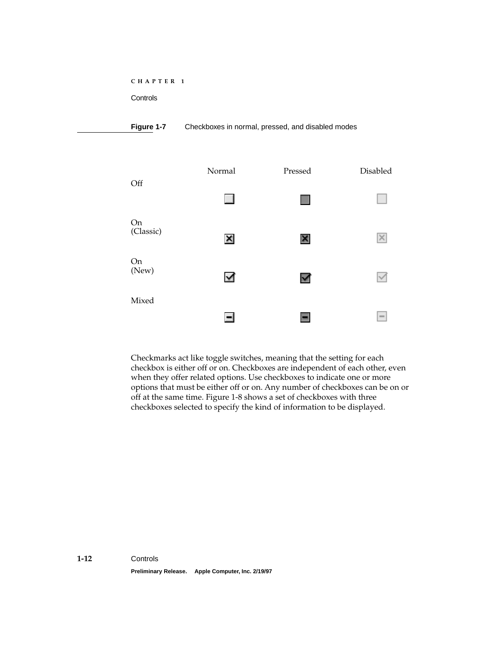<span id="page-13-0"></span>**Controls** 

#### **Figure 1-7** Checkboxes in normal, pressed, and disabled modes



Checkmarks act like toggle switches, meaning that the setting for each checkbox is either off or on. Checkboxes are independent of each other, even when they offer related options. Use checkboxes to indicate one or more options that must be either off or on. Any number of checkboxes can be on or off at the same time. [Figure 1-8](#page-14-0) shows a set of checkboxes with three checkboxes selected to specify the kind of information to be displayed.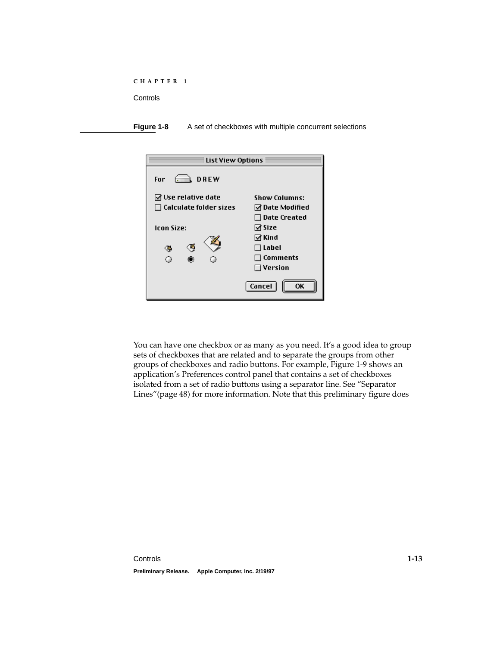<span id="page-14-0"></span>

| C H A P T E R |  |
|---------------|--|
|---------------|--|

**Figure 1-8** A set of checkboxes with multiple concurrent selections

| <b>List View Options</b>                                     |                                         |
|--------------------------------------------------------------|-----------------------------------------|
| DREW<br>For                                                  |                                         |
| $\boxdot$ Use relative date<br>$\Box$ Calculate folder sizes | <b>Show Columns:</b><br>☑ Date Modified |
| <b>Icon Size:</b>                                            | $\Box$ Date Created<br>⊠ Size<br>⊠ Kind |
|                                                              | $\Box$ Label<br>$\Box$ Comments         |
|                                                              | $\Box$ Version                          |
|                                                              | Cancel<br>OΚ                            |

You can have one checkbox or as many as you need. It's a good idea to group sets of checkboxes that are related and to separate the groups from other groups of checkboxes and radio buttons. For example, [Figure 1-9](#page-15-0) shows an application's Preferences control panel that contains a set of checkboxes isolated from a set of radio buttons using a separator line. See ["Separator](#page-49-0)  [Lines"\(page 48\)](#page-49-0) for more information. Note that this preliminary figure does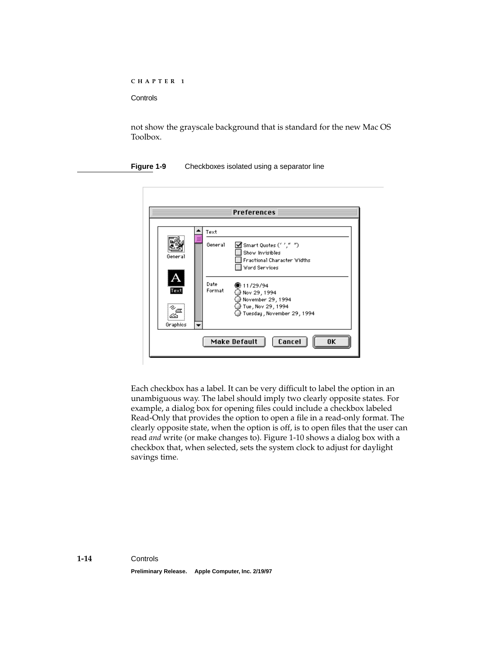<span id="page-15-0"></span>not show the grayscale background that is standard for the new Mac OS Toolbox.

**Figure 1-9** Checkboxes isolated using a separator line

|                      |                | <b>Preferences</b>                                                                             |
|----------------------|----------------|------------------------------------------------------------------------------------------------|
|                      | Text           |                                                                                                |
| General              | General        | Smart Quotes ('',"")<br>Show Invisibles<br>Fractional Character Widths<br><b>Word Services</b> |
| Text                 | Date<br>Format | ● 11/29/94<br>Nov 29, 1994                                                                     |
| ે≈⊯<br>∞<br>Graphics |                | ) November 29, 1994<br>Tue , Nov 29 , 1994<br>Tuesday , November 29, 1994                      |
|                      |                | Cancel<br>Make Default<br>0K                                                                   |

Each checkbox has a label. It can be very difficult to label the option in an unambiguous way. The label should imply two clearly opposite states. For example, a dialog box for opening files could include a checkbox labeled Read-Only that provides the option to open a file in a read-only format. The clearly opposite state, when the option is off, is to open files that the user can read *and* write (or make changes to). [Figure 1-10](#page-16-0) shows a dialog box with a checkbox that, when selected, sets the system clock to adjust for daylight savings time.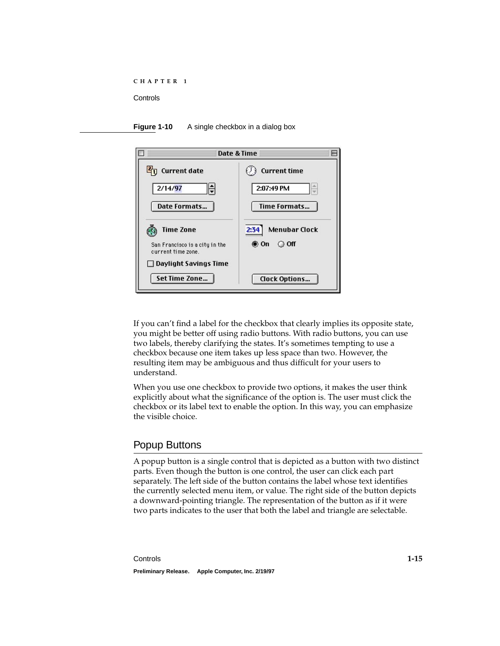<span id="page-16-0"></span>



If you can't find a label for the checkbox that clearly implies its opposite state, you might be better off using radio buttons. With radio buttons, you can use two labels, thereby clarifying the states. It's sometimes tempting to use a checkbox because one item takes up less space than two. However, the resulting item may be ambiguous and thus difficult for your users to understand.

When you use one checkbox to provide two options, it makes the user think explicitly about what the significance of the option is. The user must click the checkbox or its label text to enable the option. In this way, you can emphasize the visible choice.

## Popup Buttons

A popup button is a single control that is depicted as a button with two distinct parts. Even though the button is one control, the user can click each part separately. The left side of the button contains the label whose text identifies the currently selected menu item, or value. The right side of the button depicts a downward-pointing triangle. The representation of the button as if it were two parts indicates to the user that both the label and triangle are selectable.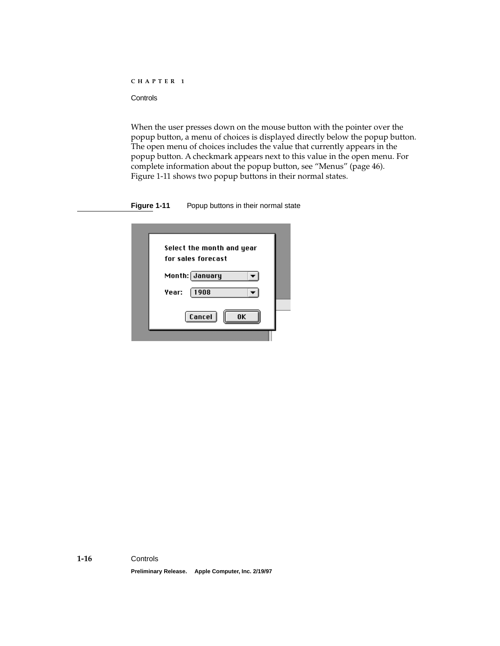When the user presses down on the mouse button with the pointer over the popup button, a menu of choices is displayed directly below the popup button. The open menu of choices includes the value that currently appears in the popup button. A checkmark appears next to this value in the open menu. For complete information about the popup button, see "Menus" (page 46). Figure 1-11 shows two popup buttons in their normal states.

**Figure 1-11** Popup buttons in their normal state

| Select the month and year            |  |
|--------------------------------------|--|
| for sales forecast<br>Month: January |  |
| 1908<br>Year:                        |  |
|                                      |  |
| Cancel<br>ΠK                         |  |
|                                      |  |

**Preliminary Release. Apple Computer, Inc. 2/19/97**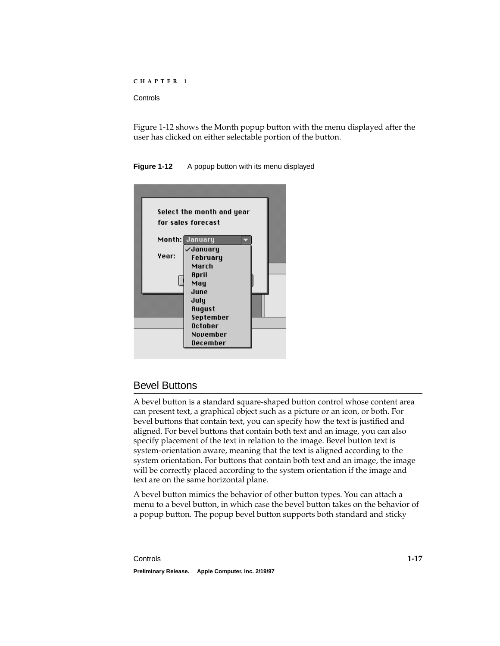<span id="page-18-0"></span>Figure 1-12 shows the Month popup button with the menu displayed after the user has clicked on either selectable portion of the button.

**Figure 1-12** A popup button with its menu displayed

|       | Select the month and year<br>for sales forecast                         |  |
|-------|-------------------------------------------------------------------------|--|
| Year: | Month: January<br>√January<br>February<br>March<br>April<br>May<br>June |  |
|       | July<br>August<br>September<br>October<br>November<br>December          |  |

## Bevel Buttons 1

A bevel button is a standard square-shaped button control whose content area can present text, a graphical object such as a picture or an icon, or both. For bevel buttons that contain text, you can specify how the text is justified and aligned. For bevel buttons that contain both text and an image, you can also specify placement of the text in relation to the image. Bevel button text is system-orientation aware, meaning that the text is aligned according to the system orientation. For buttons that contain both text and an image, the image will be correctly placed according to the system orientation if the image and text are on the same horizontal plane.

A bevel button mimics the behavior of other button types. You can attach a menu to a bevel button, in which case the bevel button takes on the behavior of a popup button. The popup bevel button supports both standard and sticky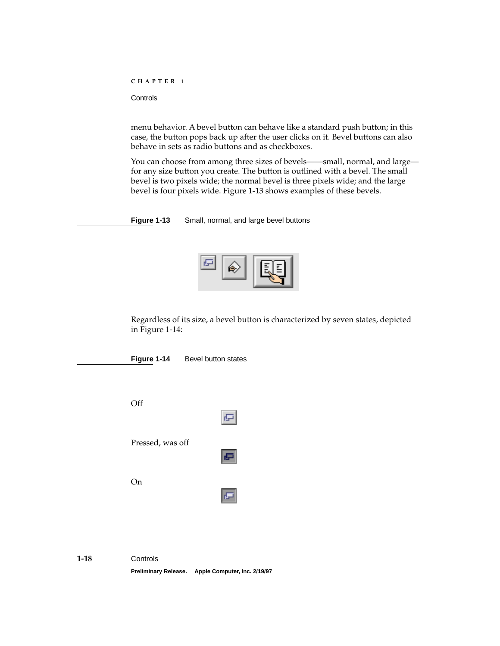<span id="page-19-0"></span>**Controls** 

menu behavior. A bevel button can behave like a standard push button; in this case, the button pops back up after the user clicks on it. Bevel buttons can also behave in sets as radio buttons and as checkboxes.

You can choose from among three sizes of bevels——small, normal, and large for any size button you create. The button is outlined with a bevel. The small bevel is two pixels wide; the normal bevel is three pixels wide; and the large bevel is four pixels wide. Figure 1-13 shows examples of these bevels.

**Figure 1-13** Small, normal, and large bevel buttons



Regardless of its size, a bevel button is characterized by seven states, depicted in Figure 1-14:

**Figure 1-14** Bevel button states

Off



Pressed, was off



On

| $\mathcal{L}^{\text{max}}_{\text{max}}$ and $\mathcal{L}^{\text{max}}_{\text{max}}$ and $\mathcal{L}^{\text{max}}_{\text{max}}$ |
|---------------------------------------------------------------------------------------------------------------------------------|
|---------------------------------------------------------------------------------------------------------------------------------|

**1-18** Controls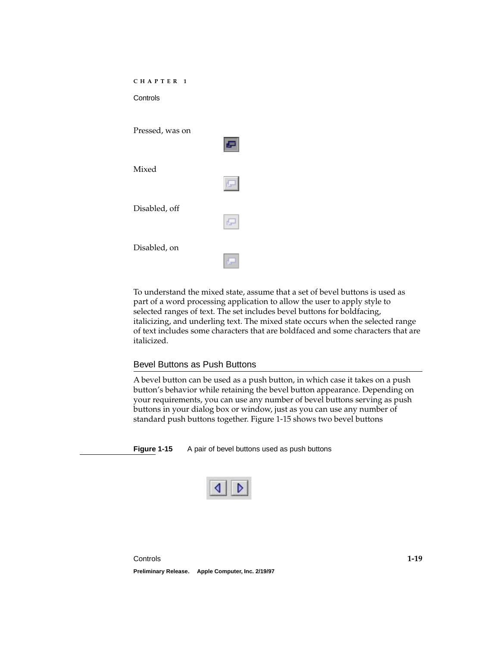<span id="page-20-0"></span>

| CHAPTER<br>$\blacksquare$<br>Controls |      |
|---------------------------------------|------|
| Pressed, was on                       | ē    |
| Mixed                                 | 同    |
| Disabled, off                         | rla- |
| Disabled, on                          |      |

To understand the mixed state, assume that a set of bevel buttons is used as part of a word processing application to allow the user to apply style to selected ranges of text. The set includes bevel buttons for boldfacing, italicizing, and underling text. The mixed state occurs when the selected range of text includes some characters that are boldfaced and some characters that are italicized.

#### Bevel Buttons as Push Buttons 1

A bevel button can be used as a push button, in which case it takes on a push button's behavior while retaining the bevel button appearance. Depending on your requirements, you can use any number of bevel buttons serving as push buttons in your dialog box or window, just as you can use any number of standard push buttons together. Figure 1-15 shows two bevel buttons

**Figure 1-15** A pair of bevel buttons used as push buttons

|--|--|--|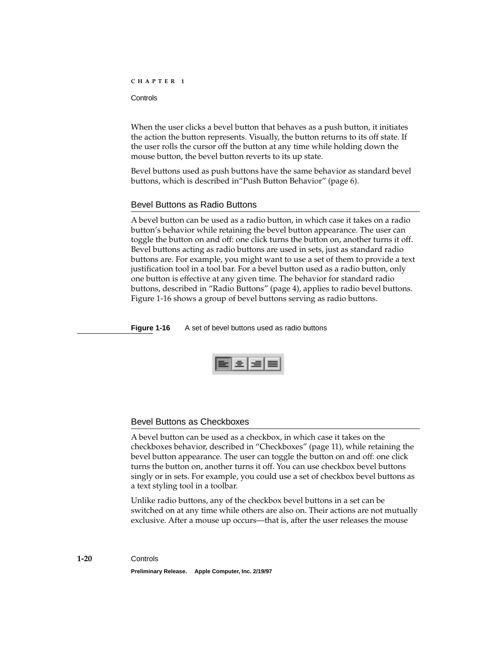<span id="page-21-0"></span>**Controls** 

When the user clicks a bevel button that behaves as a push button, it initiates the action the button represents. Visually, the button returns to its off state. If the user rolls the cursor off the button at any time while holding down the mouse button, the bevel button reverts to its up state.

Bevel buttons used as push buttons have the same behavior as standard bevel buttons, which is described in"Push Button Behavior" (page 6).

#### Bevel Buttons as Radio Buttons 1

A bevel button can be used as a radio button, in which case it takes on a radio button's behavior while retaining the bevel button appearance. The user can toggle the button on and off: one click turns the button on, another turns it off. Bevel buttons acting as radio buttons are used in sets, just as standard radio buttons are. For example, you might want to use a set of them to provide a text justification tool in a tool bar. For a bevel button used as a radio button, only one button is effective at any given time. The behavior for standard radio buttons, described in ["Radio Buttons"](#page-9-0) [\(page 4\),](#page-5-0) applies to radio bevel buttons. Figure 1-16 shows a group of bevel buttons serving as radio buttons.

**Figure 1-16** A set of bevel buttons used as radio buttons

#### Bevel Buttons as Checkboxes 1

A bevel button can be used as a checkbox, in which case it takes on the checkboxes behavior, described in ["Checkboxes"](#page-12-0) [\(page 11\)](#page-12-0), while retaining the bevel button appearance. The user can toggle the button on and off: one click turns the button on, another turns it off. You can use checkbox bevel buttons singly or in sets. For example, you could use a set of checkbox bevel buttons as a text styling tool in a toolbar.

Unlike radio buttons, any of the checkbox bevel buttons in a set can be switched on at any time while others are also on. Their actions are not mutually exclusive. After a mouse up occurs—that is, after the user releases the mouse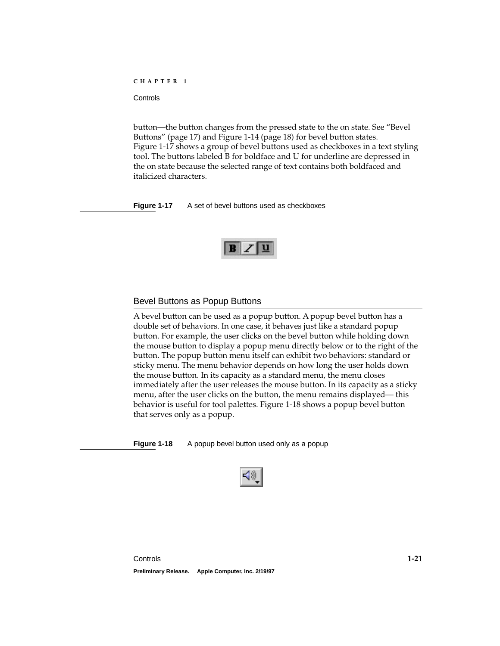<span id="page-22-0"></span>button—the button changes from the pressed state to the on state. See ["Bevel](#page-18-0)  [Buttons" \(page 17\)](#page-18-0) and [Figure 1-14](#page-19-0) [\(page 18\)](#page-19-0) for bevel button states. Figure 1-17 shows a group of bevel buttons used as checkboxes in a text styling tool. The buttons labeled B for boldface and U for underline are depressed in the on state because the selected range of text contains both boldfaced and italicized characters.

**Figure 1-17** A set of bevel buttons used as checkboxes

### Bevel Buttons as Popup Buttons 1

A bevel button can be used as a popup button. A popup bevel button has a double set of behaviors. In one case, it behaves just like a standard popup button. For example, the user clicks on the bevel button while holding down the mouse button to display a popup menu directly below or to the right of the button. The popup button menu itself can exhibit two behaviors: standard or sticky menu. The menu behavior depends on how long the user holds down the mouse button. In its capacity as a standard menu, the menu closes immediately after the user releases the mouse button. In its capacity as a sticky menu, after the user clicks on the button, the menu remains displayed— this behavior is useful for tool palettes. Figure 1-18 shows a popup bevel button that serves only as a popup.

**Figure 1-18** A popup bevel button used only as a popup

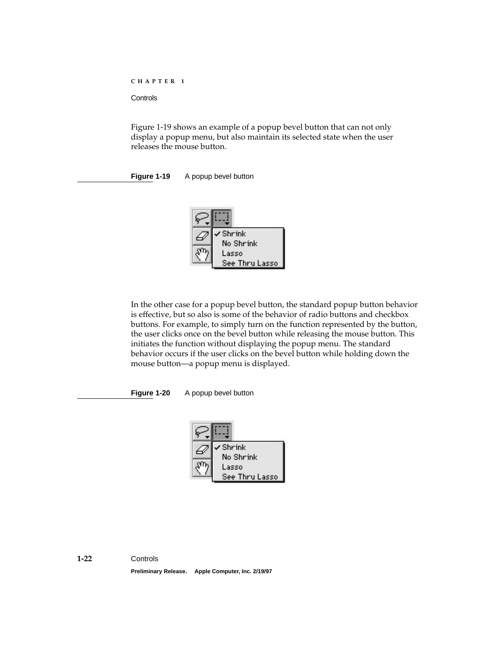**Controls** 

Figure 1-19 shows an example of a popup bevel button that can not only display a popup menu, but also maintain its selected state when the user releases the mouse button.

**Figure 1-19** A popup bevel button



In the other case for a popup bevel button, the standard popup button behavior is effective, but so also is some of the behavior of radio buttons and checkbox buttons. For example, to simply turn on the function represented by the button, the user clicks once on the bevel button while releasing the mouse button. This initiates the function without displaying the popup menu. The standard behavior occurs if the user clicks on the bevel button while holding down the mouse button—a popup menu is displayed.

**Figure 1-20** A popup bevel button

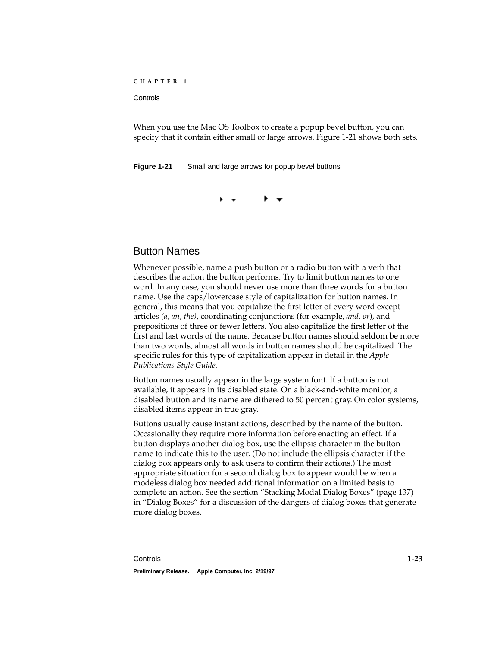#### <span id="page-24-0"></span>**Controls**

When you use the Mac OS Toolbox to create a popup bevel button, you can specify that it contain either small or large arrows. Figure 1-21 shows both sets.

**Figure 1-21** Small and large arrows for popup bevel buttons

## Button Names 1

Whenever possible, name a push button or a radio button with a verb that describes the action the button performs. Try to limit button names to one word. In any case, you should never use more than three words for a button name. Use the caps/lowercase style of capitalization for button names. In general, this means that you capitalize the first letter of every word except articles *(a, an, the)*, coordinating conjunctions (for example, *and, or*), and prepositions of three or fewer letters. You also capitalize the first letter of the first and last words of the name. Because button names should seldom be more than two words, almost all words in button names should be capitalized. The specific rules for this type of capitalization appear in detail in the *Apple Publications Style Guide*.

Button names usually appear in the large system font. If a button is not available, it appears in its disabled state. On a black-and-white monitor, a disabled button and its name are dithered to 50 percent gray. On color systems, disabled items appear in true gray.

Buttons usually cause instant actions, described by the name of the button. Occasionally they require more information before enacting an effect. If a button displays another dialog box, use the ellipsis character in the button name to indicate this to the user. (Do not include the ellipsis character if the dialog box appears only to ask users to confirm their actions.) The most appropriate situation for a second dialog box to appear would be when a modeless dialog box needed additional information on a limited basis to complete an action. See the section "Stacking Modal Dialog Boxes" (page 137) in "Dialog Boxes" for a discussion of the dangers of dialog boxes that generate more dialog boxes.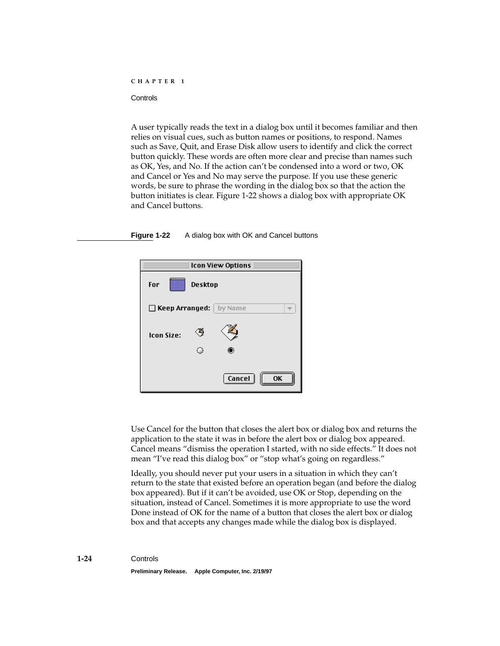A user typically reads the text in a dialog box until it becomes familiar and then relies on visual cues, such as button names or positions, to respond. Names such as Save, Quit, and Erase Disk allow users to identify and click the correct button quickly. These words are often more clear and precise than names such as OK, Yes, and No. If the action can't be condensed into a word or two, OK and Cancel or Yes and No may serve the purpose. If you use these generic words, be sure to phrase the wording in the dialog box so that the action the button initiates is clear. Figure 1-22 shows a dialog box with appropriate OK and Cancel buttons.

#### **Figure 1-22** A dialog box with OK and Cancel buttons



Use Cancel for the button that closes the alert box or dialog box and returns the application to the state it was in before the alert box or dialog box appeared. Cancel means "dismiss the operation I started, with no side effects." It does not mean "I've read this dialog box" or "stop what's going on regardless."

Ideally, you should never put your users in a situation in which they can't return to the state that existed before an operation began (and before the dialog box appeared). But if it can't be avoided, use OK or Stop, depending on the situation, instead of Cancel. Sometimes it is more appropriate to use the word Done instead of OK for the name of a button that closes the alert box or dialog box and that accepts any changes made while the dialog box is displayed.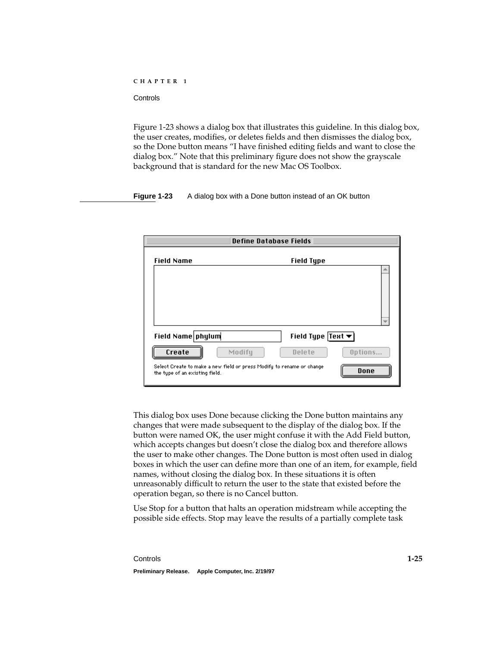Figure 1-23 shows a dialog box that illustrates this guideline. In this dialog box, the user creates, modifies, or deletes fields and then dismisses the dialog box, so the Done button means "I have finished editing fields and want to close the dialog box." Note that this preliminary figure does not show the grayscale background that is standard for the new Mac OS Toolbox.

**Figure 1-23** A dialog box with a Done button instead of an OK button

| <b>Define Database Fields</b>                                                                                               |                                        |
|-----------------------------------------------------------------------------------------------------------------------------|----------------------------------------|
| <b>Field Name</b>                                                                                                           | <b>Field Type</b>                      |
|                                                                                                                             |                                        |
| Field Name phylum                                                                                                           | Field Type   Text $\blacktriangledown$ |
| Create<br>Modify<br>Select Create to make a new field or press Modify to rename or change<br>the type of an existing field. | Delete<br>Options<br>Done              |

This dialog box uses Done because clicking the Done button maintains any changes that were made subsequent to the display of the dialog box. If the button were named OK, the user might confuse it with the Add Field button, which accepts changes but doesn't close the dialog box and therefore allows the user to make other changes. The Done button is most often used in dialog boxes in which the user can define more than one of an item, for example, field names, without closing the dialog box. In these situations it is often unreasonably difficult to return the user to the state that existed before the operation began, so there is no Cancel button.

Use Stop for a button that halts an operation midstream while accepting the possible side effects. Stop may leave the results of a partially complete task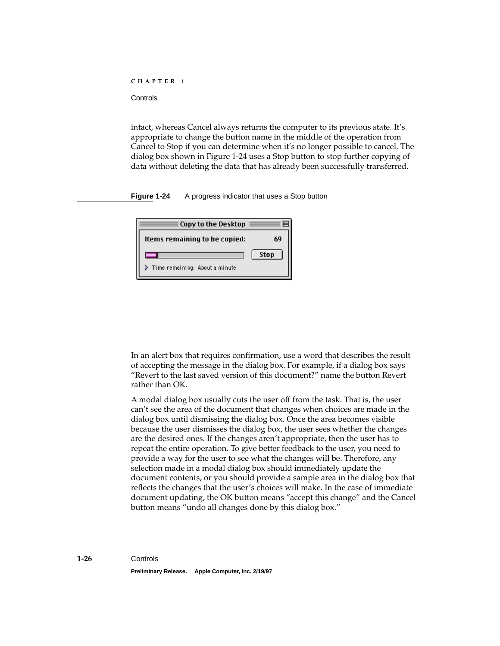intact, whereas Cancel always returns the computer to its previous state. It's appropriate to change the button name in the middle of the operation from Cancel to Stop if you can determine when it's no longer possible to cancel. The dialog box shown in Figure 1-24 uses a Stop button to stop further copying of data without deleting the data that has already been successfully transferred.

**Figure 1-24** A progress indicator that uses a Stop button

| 69   |
|------|
| Stop |
|      |
|      |

In an alert box that requires confirmation, use a word that describes the result of accepting the message in the dialog box. For example, if a dialog box says "Revert to the last saved version of this document?" name the button Revert rather than OK.

A modal dialog box usually cuts the user off from the task. That is, the user can't see the area of the document that changes when choices are made in the dialog box until dismissing the dialog box. Once the area becomes visible because the user dismisses the dialog box, the user sees whether the changes are the desired ones. If the changes aren't appropriate, then the user has to repeat the entire operation. To give better feedback to the user, you need to provide a way for the user to see what the changes will be. Therefore, any selection made in a modal dialog box should immediately update the document contents, or you should provide a sample area in the dialog box that reflects the changes that the user's choices will make. In the case of immediate document updating, the OK button means "accept this change" and the Cancel button means "undo all changes done by this dialog box."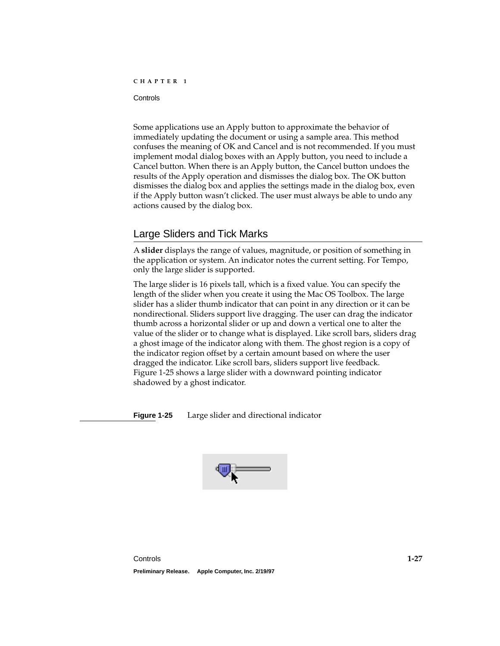<span id="page-28-0"></span>**Controls** 

Some applications use an Apply button to approximate the behavior of immediately updating the document or using a sample area. This method confuses the meaning of OK and Cancel and is not recommended. If you must implement modal dialog boxes with an Apply button, you need to include a Cancel button. When there is an Apply button, the Cancel button undoes the results of the Apply operation and dismisses the dialog box. The OK button dismisses the dialog box and applies the settings made in the dialog box, even if the Apply button wasn't clicked. The user must always be able to undo any actions caused by the dialog box.

## Large Sliders and Tick Marks 1

A **slider** displays the range of values, magnitude, or position of something in the application or system. An indicator notes the current setting. For Tempo, only the large slider is supported.

The large slider is 16 pixels tall, which is a fixed value. You can specify the length of the slider when you create it using the Mac OS Toolbox. The large slider has a slider thumb indicator that can point in any direction or it can be nondirectional. Sliders support live dragging. The user can drag the indicator thumb across a horizontal slider or up and down a vertical one to alter the value of the slider or to change what is displayed. Like scroll bars, sliders drag a ghost image of the indicator along with them. The ghost region is a copy of the indicator region offset by a certain amount based on where the user dragged the indicator. Like scroll bars, sliders support live feedback. Figure 1-25 shows a large slider with a downward pointing indicator shadowed by a ghost indicator.

**Figure 1-25** Large slider and directional indicator

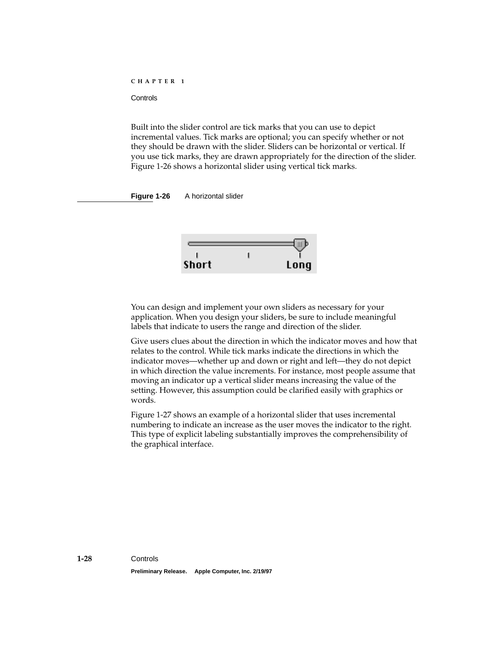Built into the slider control are tick marks that you can use to depict incremental values. Tick marks are optional; you can specify whether or not they should be drawn with the slider. Sliders can be horizontal or vertical. If you use tick marks, they are drawn appropriately for the direction of the slider. Figure 1-26 shows a horizontal slider using vertical tick marks.

**Figure 1-26** A horizontal slider



You can design and implement your own sliders as necessary for your application. When you design your sliders, be sure to include meaningful labels that indicate to users the range and direction of the slider.

Give users clues about the direction in which the indicator moves and how that relates to the control. While tick marks indicate the directions in which the indicator moves—whether up and down or right and left—they do not depict in which direction the value increments. For instance, most people assume that moving an indicator up a vertical slider means increasing the value of the setting. However, this assumption could be clarified easily with graphics or words.

[Figure 1-27](#page-30-0) shows an example of a horizontal slider that uses incremental numbering to indicate an increase as the user moves the indicator to the right. This type of explicit labeling substantially improves the comprehensibility of the graphical interface.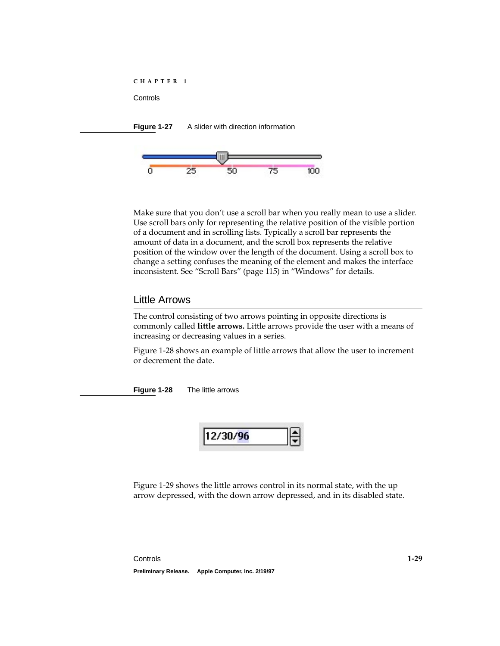<span id="page-30-0"></span>



Make sure that you don't use a scroll bar when you really mean to use a slider. Use scroll bars only for representing the relative position of the visible portion of a document and in scrolling lists. Typically a scroll bar represents the amount of data in a document, and the scroll box represents the relative position of the window over the length of the document. Using a scroll box to change a setting confuses the meaning of the element and makes the interface inconsistent. See "Scroll Bars" (page 115) in "Windows" for details.

## Little Arrows 1

The control consisting of two arrows pointing in opposite directions is commonly called **little arrows.** Little arrows provide the user with a means of increasing or decreasing values in a series.

Figure 1-28 shows an example of little arrows that allow the user to increment or decrement the date.

**Figure 1-28** The little arrows



[Figure 1-29](#page-31-0) shows the little arrows control in its normal state, with the up arrow depressed, with the down arrow depressed, and in its disabled state.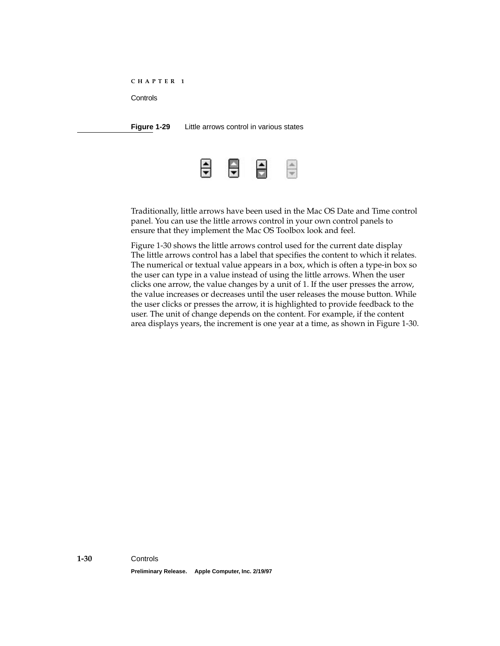<span id="page-31-0"></span>**Figure 1-29** Little arrows control in various states



Traditionally, little arrows have been used in the Mac OS Date and Time control panel. You can use the little arrows control in your own control panels to ensure that they implement the Mac OS Toolbox look and feel.

[Figure 1-30](#page-32-0) shows the little arrows control used for the current date display The little arrows control has a label that specifies the content to which it relates. The numerical or textual value appears in a box, which is often a type-in box so the user can type in a value instead of using the little arrows. When the user clicks one arrow, the value changes by a unit of 1. If the user presses the arrow, the value increases or decreases until the user releases the mouse button. While the user clicks or presses the arrow, it is highlighted to provide feedback to the user. The unit of change depends on the content. For example, if the content area displays years, the increment is one year at a time, as shown in [Figure 1-30](#page-32-0).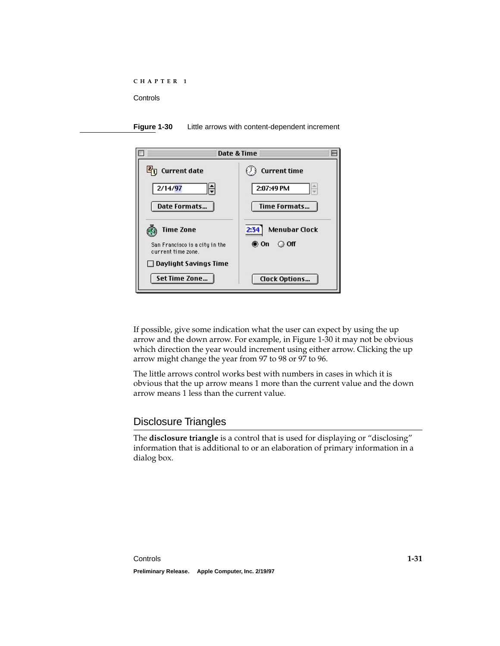<span id="page-32-0"></span>



If possible, give some indication what the user can expect by using the up arrow and the down arrow. For example, in Figure 1-30 it may not be obvious which direction the year would increment using either arrow. Clicking the up arrow might change the year from 97 to 98 or 97 to 96.

The little arrows control works best with numbers in cases in which it is obvious that the up arrow means 1 more than the current value and the down arrow means 1 less than the current value.

## Disclosure Triangles 1

The **disclosure triangle** is a control that is used for displaying or "disclosing" information that is additional to or an elaboration of primary information in a dialog box.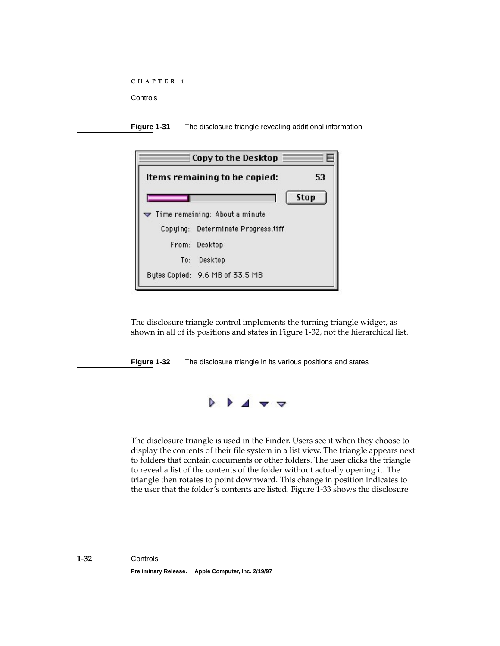**Figure 1-31** The disclosure triangle revealing additional information

| Copy to the Desktop                                 |      |
|-----------------------------------------------------|------|
| Items remaining to be copied:                       | 53   |
|                                                     | Stop |
| $\blacktriangledown$ Time remaining: About a minute |      |
| Copying: Determinate Progress.tiff                  |      |
| From: Desktop                                       |      |
| To: Desktop                                         |      |
| Bytes Copied: 9.6 MB of 33.5 MB                     |      |

The disclosure triangle control implements the turning triangle widget, as shown in all of its positions and states in Figure 1-32, not the hierarchical list.

**Figure 1-32** The disclosure triangle in its various positions and states



The disclosure triangle is used in the Finder. Users see it when they choose to display the contents of their file system in a list view. The triangle appears next to folders that contain documents or other folders. The user clicks the triangle to reveal a list of the contents of the folder without actually opening it. The triangle then rotates to point downward. This change in position indicates to the user that the folder's contents are listed. [Figure 1-33](#page-34-0) shows the disclosure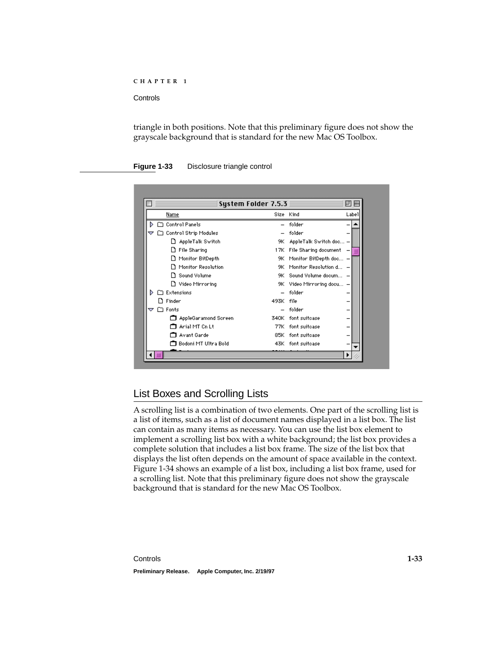<span id="page-34-0"></span>**Controls** 

triangle in both positions. Note that this preliminary figure does not show the grayscale background that is standard for the new Mac OS Toolbox.

#### **Figure 1-33** Disclosure triangle control

| System Folder 7.5.3          |           |                             | п     |
|------------------------------|-----------|-----------------------------|-------|
| <b>Name</b>                  | Size Kind |                             | Label |
| Control Panels               |           | folder                      |       |
| □ Control Strip Modules<br>▽ |           | folder                      |       |
| AppleTalk Switch<br>n        | 9К        | AppleTalk Switch doc -      |       |
| File Sharing<br>n            |           | 17K File Sharing document - |       |
| Monitor BitDepth<br>ו ו      | 9К        | Monitor BitDepth doc -      |       |
| Monitor Resolution           | 9К.       | Monitor Resolution d -      |       |
| Sound Volume<br>n            | 9K.       | Sound Volume docum -        |       |
| □ Video Mirroring            |           | 9K Video Mirroring docu -   |       |
| $\sqcap$ Extensions<br>b.    |           | folder                      |       |
| Finder                       | 493K file |                             |       |
| $\Box$ Fonts<br>▼            |           | folder                      |       |
| AppleGaramond Screen         | 340K      | font suitcase               |       |
| Arial MT Cn Lt               | 77K       | font suitcase               |       |
| Avant Garde                  |           | 85K font suitcase           |       |
| Bodoni MT Ultra Bold         |           | 43K font suitcase           |       |
|                              |           |                             |       |

## List Boxes and Scrolling Lists 1

A scrolling list is a combination of two elements. One part of the scrolling list is a list of items, such as a list of document names displayed in a list box. The list can contain as many items as necessary. You can use the list box element to implement a scrolling list box with a white background; the list box provides a complete solution that includes a list box frame. The size of the list box that displays the list often depends on the amount of space available in the context. [Figure 1-34](#page-35-0) shows an example of a list box, including a list box frame, used for a scrolling list. Note that this preliminary figure does not show the grayscale background that is standard for the new Mac OS Toolbox.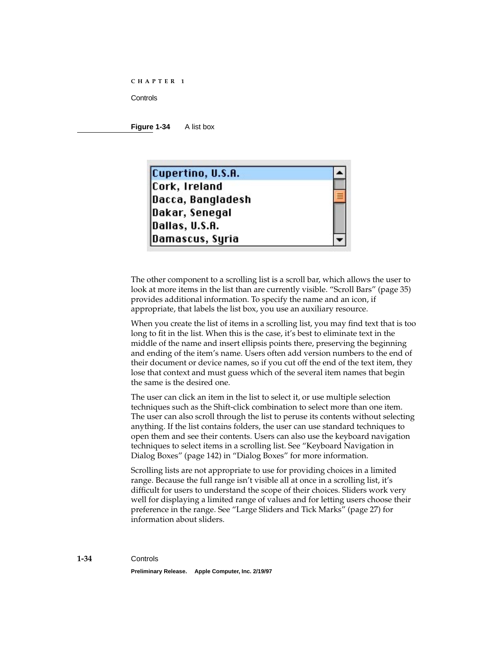<span id="page-35-0"></span>**Controls** 

**Figure 1-34** A list box



The other component to a scrolling list is a scroll bar, which allows the user to look at more items in the list than are currently visible. ["Scroll Bars"](#page-36-0) [\(page 35\)](#page-36-0) provides additional information. To specify the name and an icon, if appropriate, that labels the list box, you use an auxiliary resource.

When you create the list of items in a scrolling list, you may find text that is too long to fit in the list. When this is the case, it's best to eliminate text in the middle of the name and insert ellipsis points there, preserving the beginning and ending of the item's name. Users often add version numbers to the end of their document or device names, so if you cut off the end of the text item, they lose that context and must guess which of the several item names that begin the same is the desired one.

The user can click an item in the list to select it, or use multiple selection techniques such as the Shift-click combination to select more than one item. The user can also scroll through the list to peruse its contents without selecting anything. If the list contains folders, the user can use standard techniques to open them and see their contents. Users can also use the keyboard navigation techniques to select items in a scrolling list. See "Keyboard Navigation in Dialog Boxes" (page 142) in "Dialog Boxes" for more information.

Scrolling lists are not appropriate to use for providing choices in a limited range. Because the full range isn't visible all at once in a scrolling list, it's difficult for users to understand the scope of their choices. Sliders work very well for displaying a limited range of values and for letting users choose their preference in the range. See ["Large Sliders and Tick Marks"](#page-28-0) [\(page 27\)](#page-28-0) for information about sliders.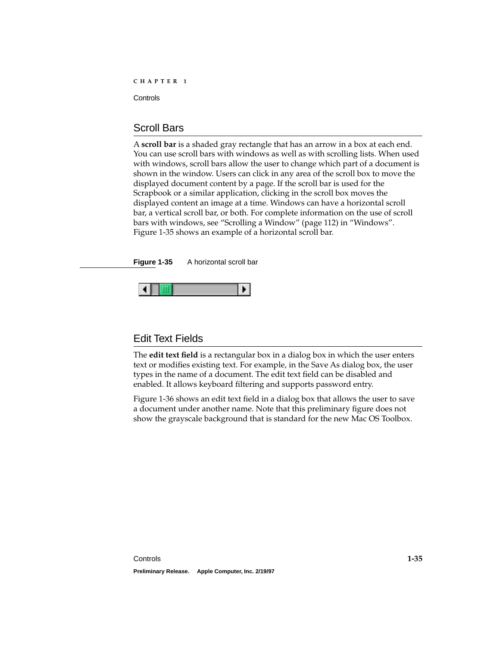## <span id="page-36-0"></span>Scroll Bars

A **scroll bar** is a shaded gray rectangle that has an arrow in a box at each end. You can use scroll bars with windows as well as with scrolling lists. When used with windows, scroll bars allow the user to change which part of a document is shown in the window. Users can click in any area of the scroll box to move the displayed document content by a page. If the scroll bar is used for the Scrapbook or a similar application, clicking in the scroll box moves the displayed content an image at a time. Windows can have a horizontal scroll bar, a vertical scroll bar, or both. For complete information on the use of scroll bars with windows, see "Scrolling a Window" (page 112) in "Windows". Figure 1-35 shows an example of a horizontal scroll bar.

**Figure 1-35** A horizontal scroll bar



## Edit Text Fields 1

The **edit text field** is a rectangular box in a dialog box in which the user enters text or modifies existing text. For example, in the Save As dialog box, the user types in the name of a document. The edit text field can be disabled and enabled. It allows keyboard filtering and supports password entry.

[Figure 1-36](#page-37-0) shows an edit text field in a dialog box that allows the user to save a document under another name. Note that this preliminary figure does not show the grayscale background that is standard for the new Mac OS Toolbox.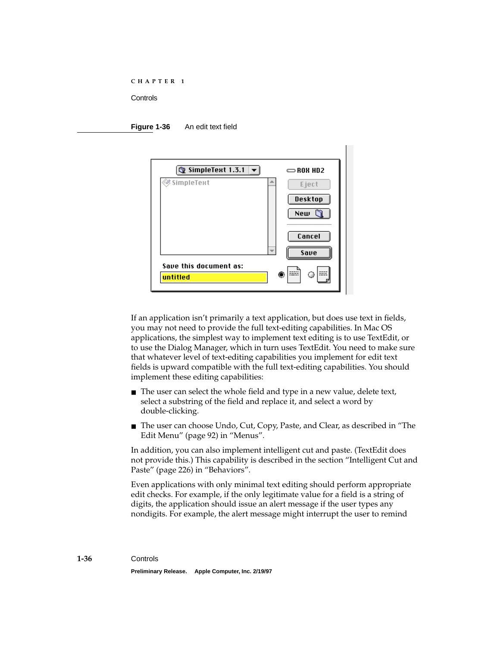#### <span id="page-37-0"></span>**Figure 1-36** An edit text field



If an application isn't primarily a text application, but does use text in fields, you may not need to provide the full text-editing capabilities. In Mac OS applications, the simplest way to implement text editing is to use TextEdit, or to use the Dialog Manager, which in turn uses TextEdit. You need to make sure that whatever level of text-editing capabilities you implement for edit text fields is upward compatible with the full text-editing capabilities. You should implement these editing capabilities:

- The user can select the whole field and type in a new value, delete text, select a substring of the field and replace it, and select a word by double-clicking.
- The user can choose Undo, Cut, Copy, Paste, and Clear, as described in "The Edit Menu" (page 92) in "Menus".

In addition, you can also implement intelligent cut and paste. (TextEdit does not provide this.) This capability is described in the section "Intelligent Cut and Paste" (page 226) in "Behaviors".

Even applications with only minimal text editing should perform appropriate edit checks. For example, if the only legitimate value for a field is a string of digits, the application should issue an alert message if the user types any nondigits. For example, the alert message might interrupt the user to remind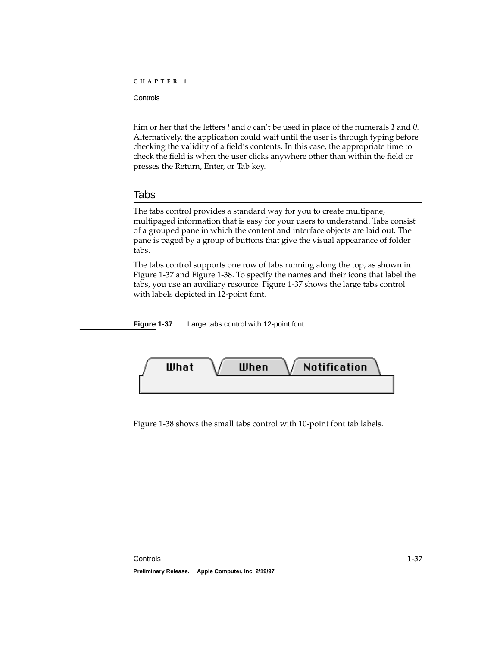<span id="page-38-0"></span>him or her that the letters *l* and *o* can't be used in place of the numerals *1* and *0*. Alternatively, the application could wait until the user is through typing before checking the validity of a field's contents. In this case, the appropriate time to check the field is when the user clicks anywhere other than within the field or presses the Return, Enter, or Tab key.

## Tabs **1999** - 1999 - 1999 - 1999 - 1999 - 1999 - 1999 - 1999 - 1999 - 1999 - 1999 - 1999 - 1999 - 1999 - 1999 - 199

The tabs control provides a standard way for you to create multipane, multipaged information that is easy for your users to understand. Tabs consist of a grouped pane in which the content and interface objects are laid out. The pane is paged by a group of buttons that give the visual appearance of folder tabs.

The tabs control supports one row of tabs running along the top, as shown in Figure 1-37 and [Figure 1-38](#page-39-0). To specify the names and their icons that label the tabs, you use an auxiliary resource. Figure 1-37 shows the large tabs control with labels depicted in 12-point font.

**Figure 1-37** Large tabs control with 12-point font



[Figure 1-38](#page-39-0) shows the small tabs control with 10-point font tab labels.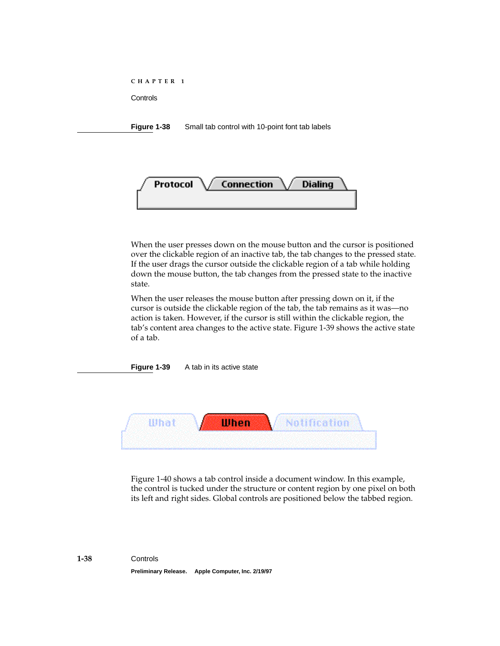<span id="page-39-0"></span>**Figure 1-38** Small tab control with 10-point font tab labels



When the user presses down on the mouse button and the cursor is positioned over the clickable region of an inactive tab, the tab changes to the pressed state. If the user drags the cursor outside the clickable region of a tab while holding down the mouse button, the tab changes from the pressed state to the inactive state.

When the user releases the mouse button after pressing down on it, if the cursor is outside the clickable region of the tab, the tab remains as it was—no action is taken. However, if the cursor is still within the clickable region, the tab's content area changes to the active state. Figure 1-39 shows the active state of a tab.

**Figure 1-39** A tab in its active state



[Figure 1-40](#page-40-0) shows a tab control inside a document window. In this example, the control is tucked under the structure or content region by one pixel on both its left and right sides. Global controls are positioned below the tabbed region.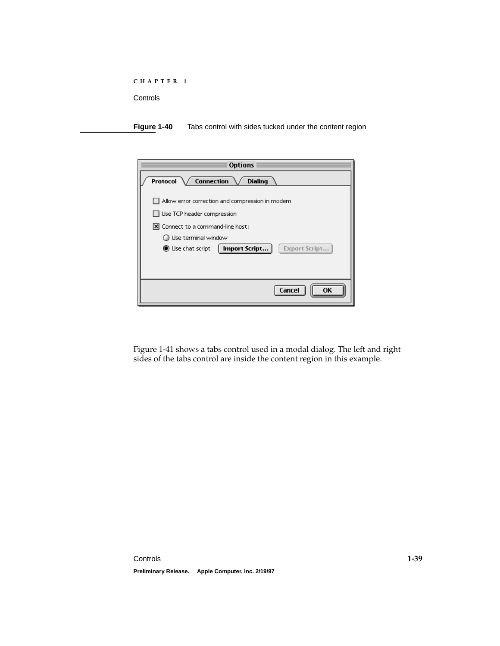<span id="page-40-0"></span>

| C H A P T E R |  |
|---------------|--|
|---------------|--|

**Figure 1-40** Tabs control with sides tucked under the content region

| <b>Options</b>                                                 |
|----------------------------------------------------------------|
| / Connection<br><b>Protocol</b> $\sqrt$<br><b>Dialing</b>      |
| $\blacksquare$ Allow error correction and compression in modem |
| $\Box$ Use TCP header compression                              |
| X Connect to a command-line host:                              |
| ◯ Use terminal window                                          |
| Import Script<br><b>Export Script.</b><br>Use chat script      |
|                                                                |
|                                                                |
| Cancel<br>OΚ                                                   |

[Figure 1-41](#page-41-0) shows a tabs control used in a modal dialog. The left and right sides of the tabs control are inside the content region in this example.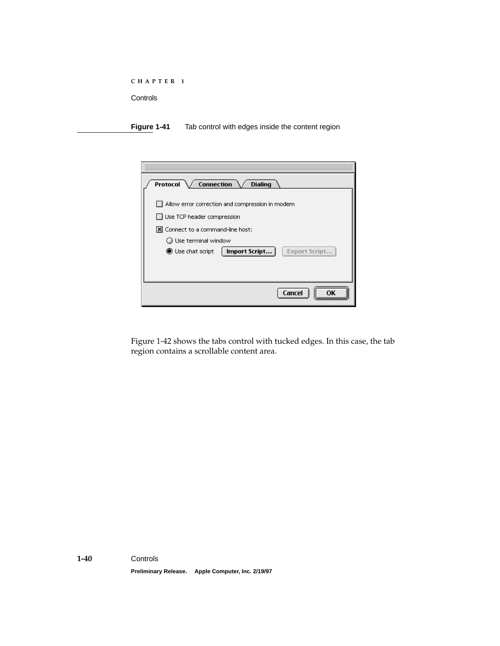<span id="page-41-0"></span>**Figure 1-41** Tab control with edges inside the content region

| / Connection<br><b>Protocol</b><br><b>Dialing</b>        |
|----------------------------------------------------------|
| $\Box$ Allow error correction and compression in modem   |
| $\Box$ Use TCP header compression                        |
| X Connect to a command-line host:                        |
| ◯ Use terminal window                                    |
| Import Script<br><b>Export Script</b><br>Use chat script |
|                                                          |
|                                                          |
| OK<br>Cancel                                             |

[Figure 1-42](#page-42-0) shows the tabs control with tucked edges. In this case, the tab region contains a scrollable content area.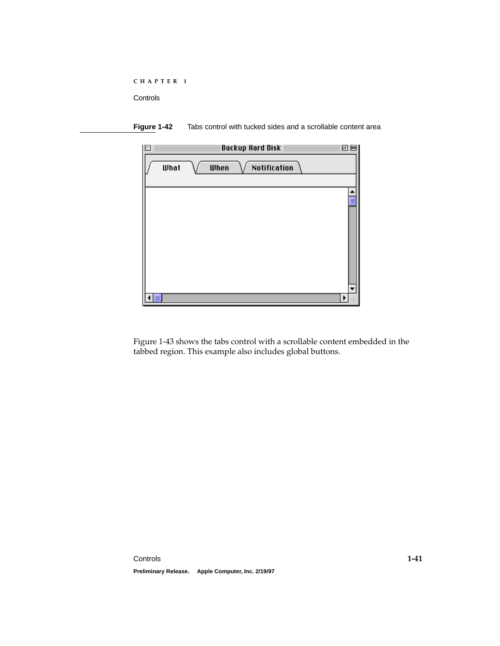```
CHAPTER 1
```




[Figure 1-43](#page-43-0) shows the tabs control with a scrollable content embedded in the tabbed region. This example also includes global buttons.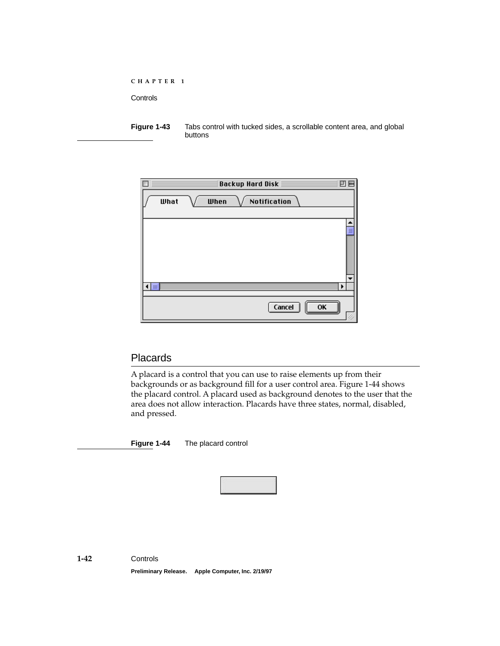<span id="page-43-0"></span>**Figure 1-43** Tabs control with tucked sides, a scrollable content area, and global buttons

|                | Backup Hard Disk                   | ▣                     |
|----------------|------------------------------------|-----------------------|
| What           | <b>Notification</b><br><b>When</b> |                       |
|                |                                    | ≣                     |
|                |                                    |                       |
| $\blacksquare$ |                                    | $\blacktriangleright$ |
|                | Cancel<br>OK                       |                       |

## **Placards**

A placard is a control that you can use to raise elements up from their backgrounds or as background fill for a user control area. Figure 1-44 shows the placard control. A placard used as background denotes to the user that the area does not allow interaction. Placards have three states, normal, disabled, and pressed.

**Figure 1-44** The placard control

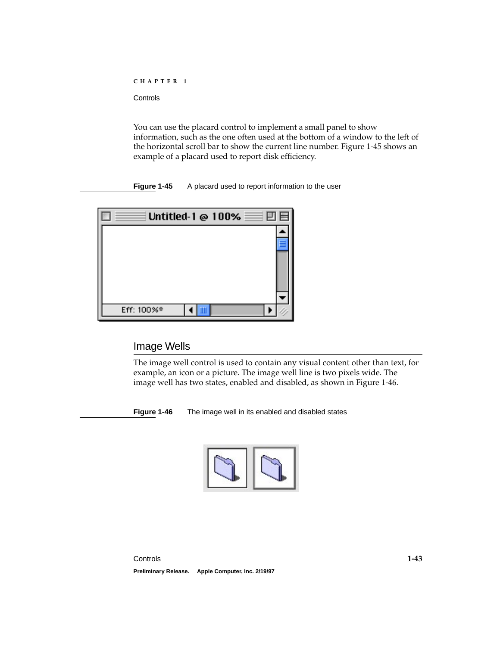<span id="page-44-0"></span>You can use the placard control to implement a small panel to show information, such as the one often used at the bottom of a window to the left of the horizontal scroll bar to show the current line number. Figure 1-45 shows an example of a placard used to report disk efficiency.

**Figure 1-45** A placard used to report information to the user

| $\equiv$ Untitled-1 @ 100% $\equiv$ 0 8 $\equiv$ |  |
|--------------------------------------------------|--|
|                                                  |  |
|                                                  |  |
|                                                  |  |
|                                                  |  |
|                                                  |  |
| Eff: 100%*                                       |  |

## **Image Wells**

The image well control is used to contain any visual content other than text, for example, an icon or a picture. The image well line is two pixels wide. The image well has two states, enabled and disabled, as shown in Figure 1-46.

**Figure 1-46** The image well in its enabled and disabled states

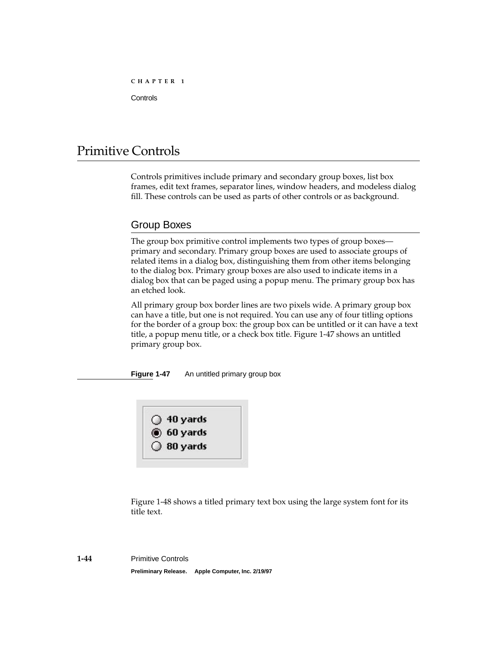# <span id="page-45-0"></span>Primitive Controls 1

Controls primitives include primary and secondary group boxes, list box frames, edit text frames, separator lines, window headers, and modeless dialog fill. These controls can be used as parts of other controls or as background.

## Group Boxes 1

The group box primitive control implements two types of group boxes primary and secondary. Primary group boxes are used to associate groups of related items in a dialog box, distinguishing them from other items belonging to the dialog box. Primary group boxes are also used to indicate items in a dialog box that can be paged using a popup menu. The primary group box has an etched look.

All primary group box border lines are two pixels wide. A primary group box can have a title, but one is not required. You can use any of four titling options for the border of a group box: the group box can be untitled or it can have a text title, a popup menu title, or a check box title. Figure 1-47 shows an untitled primary group box.

**Figure 1-47** An untitled primary group box



[Figure 1-48](#page-46-0) shows a titled primary text box using the large system font for its title text.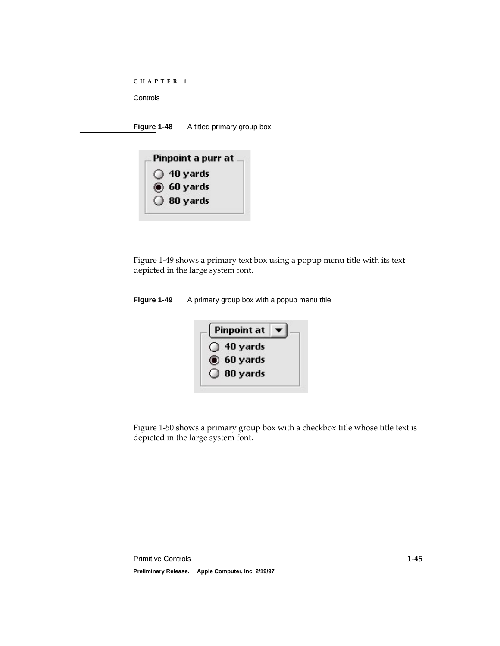<span id="page-46-0"></span>

**Figure 1-48** A titled primary group box

| Pinpoint a purr at  |
|---------------------|
| $\bigcirc$ 40 yards |
| $(6)$ 60 yards      |
| $\bigcirc$ 80 yards |

Figure 1-49 shows a primary text box using a popup menu title with its text depicted in the large system font.

**Figure 1-49** A primary group box with a popup menu title



[Figure 1-50](#page-47-0) shows a primary group box with a checkbox title whose title text is depicted in the large system font.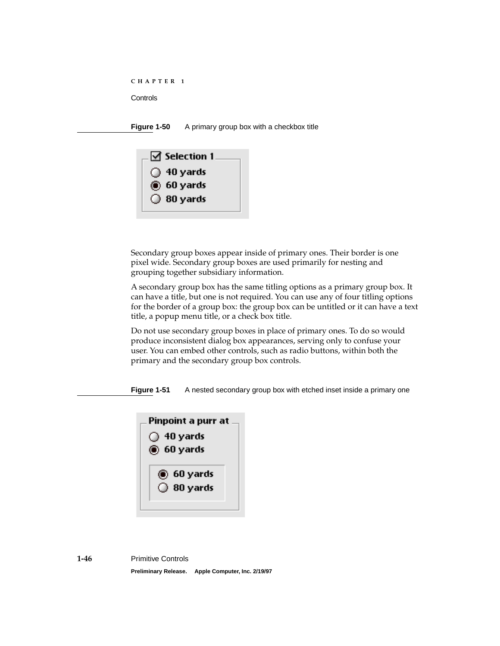```
CHAPTER 1
```
**Figure 1-50** A primary group box with a checkbox title



Secondary group boxes appear inside of primary ones. Their border is one pixel wide. Secondary group boxes are used primarily for nesting and grouping together subsidiary information.

A secondary group box has the same titling options as a primary group box. It can have a title, but one is not required. You can use any of four titling options for the border of a group box: the group box can be untitled or it can have a text title, a popup menu title, or a check box title.

Do not use secondary group boxes in place of primary ones. To do so would produce inconsistent dialog box appearances, serving only to confuse your user. You can embed other controls, such as radio buttons, within both the primary and the secondary group box controls.

**Figure 1-51** A nested secondary group box with etched inset inside a primary one

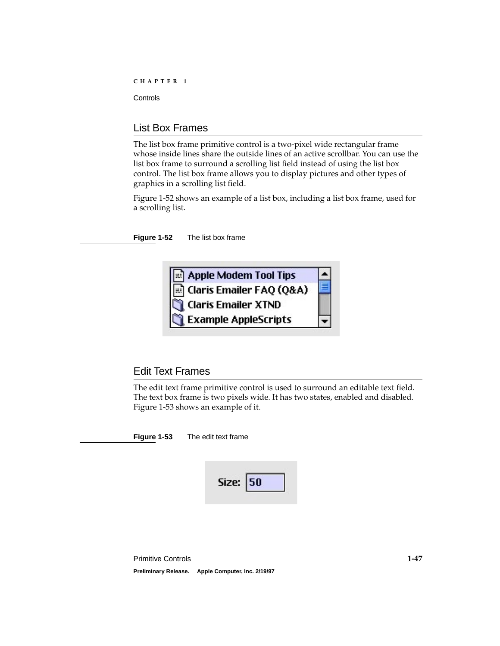## <span id="page-48-0"></span>List Box Frames 1

The list box frame primitive control is a two-pixel wide rectangular frame whose inside lines share the outside lines of an active scrollbar. You can use the list box frame to surround a scrolling list field instead of using the list box control. The list box frame allows you to display pictures and other types of graphics in a scrolling list field.

Figure 1-52 shows an example of a list box, including a list box frame, used for a scrolling list.

**Figure 1-52** The list box frame



## Edit Text Frames 1

The edit text frame primitive control is used to surround an editable text field. The text box frame is two pixels wide. It has two states, enabled and disabled. Figure 1-53 shows an example of it.

**Figure 1-53** The edit text frame

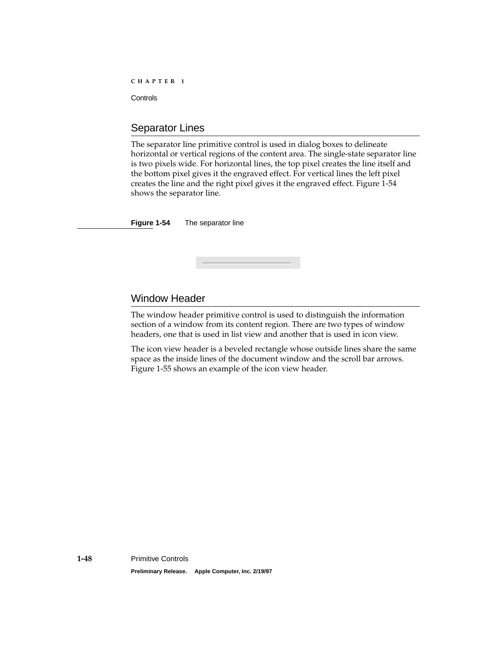## <span id="page-49-0"></span>Separator Lines

The separator line primitive control is used in dialog boxes to delineate horizontal or vertical regions of the content area. The single-state separator line is two pixels wide. For horizontal lines, the top pixel creates the line itself and the bottom pixel gives it the engraved effect. For vertical lines the left pixel creates the line and the right pixel gives it the engraved effect. Figure 1-54 shows the separator line.

**Figure 1-54** The separator line

## Window Header

The window header primitive control is used to distinguish the information section of a window from its content region. There are two types of window headers, one that is used in list view and another that is used in icon view.

The icon view header is a beveled rectangle whose outside lines share the same space as the inside lines of the document window and the scroll bar arrows. [Figure 1-55](#page-50-0) shows an example of the icon view header.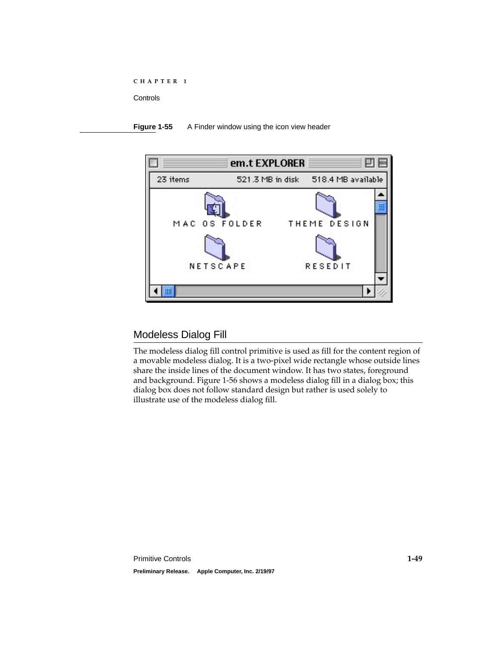#### <span id="page-50-0"></span>**Figure 1-55** A Finder window using the icon view header



## Modeless Dialog Fill 1

The modeless dialog fill control primitive is used as fill for the content region of a movable modeless dialog. It is a two-pixel wide rectangle whose outside lines share the inside lines of the document window. It has two states, foreground and background. [Figure 1-56](#page-51-0) shows a modeless dialog fill in a dialog box; this dialog box does not follow standard design but rather is used solely to illustrate use of the modeless dialog fill.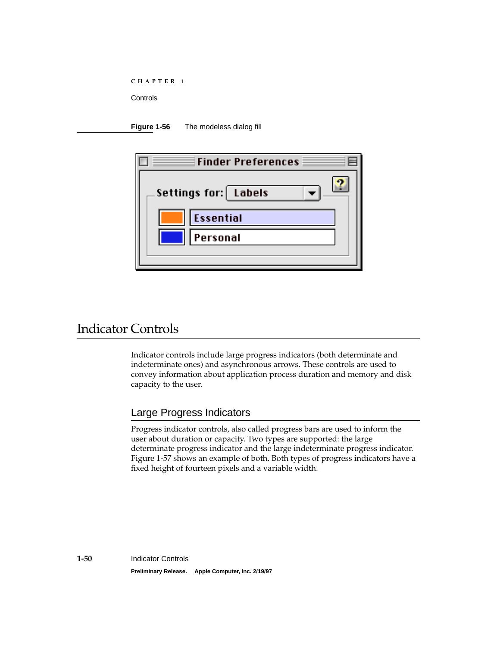<span id="page-51-0"></span>

|  | - 3 | СНАРТЕ: |  |  |  | R |  |
|--|-----|---------|--|--|--|---|--|
|--|-----|---------|--|--|--|---|--|

**Figure 1-56** The modeless dialog fill

| Finder Preferences $\equiv$                          |
|------------------------------------------------------|
| Settings for: Labels<br><b>Essential</b><br>Personal |

# Indicator Controls 1

Indicator controls include large progress indicators (both determinate and indeterminate ones) and asynchronous arrows. These controls are used to convey information about application process duration and memory and disk capacity to the user.

## Large Progress Indicators

Progress indicator controls, also called progress bars are used to inform the user about duration or capacity. Two types are supported: the large determinate progress indicator and the large indeterminate progress indicator. [Figure 1-57](#page-52-0) shows an example of both. Both types of progress indicators have a fixed height of fourteen pixels and a variable width.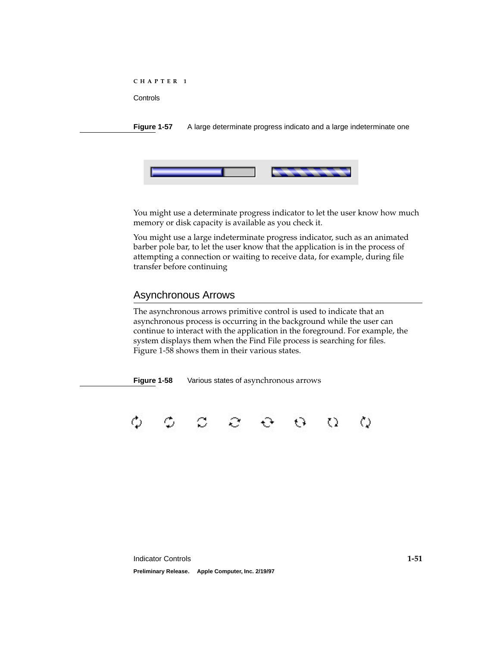<span id="page-52-0"></span>**Figure 1-57** A large determinate progress indicato and a large indeterminate one



You might use a determinate progress indicator to let the user know how much memory or disk capacity is available as you check it.

You might use a large indeterminate progress indicator, such as an animated barber pole bar, to let the user know that the application is in the process of attempting a connection or waiting to receive data, for example, during file transfer before continuing

## Asynchronous Arrows 1

The asynchronous arrows primitive control is used to indicate that an asynchronous process is occurring in the background while the user can continue to interact with the application in the foreground. For example, the system displays them when the Find File process is searching for files. Figure 1-58 shows them in their various states.

**Figure 1-58** Various states of asynchronous arrows

Ò ٥  $\circ$   $\circ$   $\circ$   $\circ$   $\circ$ ♦